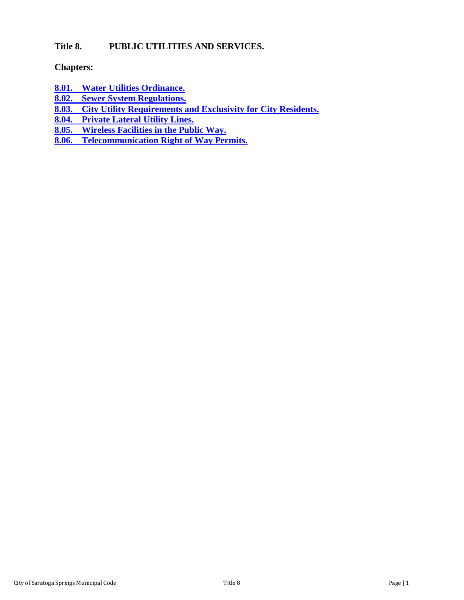# **Title 8. PUBLIC UTILITIES AND SERVICES.**

## **Chapters:**

- **8.01. [Water Utilities Ordinance.](#page-1-0)**
- **8.02. [Sewer System Regulations.](#page-15-0)**
- **8.03. [City Utility Requirements and Exclusivity for City Residents.](#page-28-0)**
- **[8.04. Private Lateral Utility Lines.](#page-30-0)**
- **[8.05. Wireless Facilities in the Public Way.](#page-34-0)**<br>**8.06. Telecommunication Right of Way Per**
- **8.06. [Telecommunication Right of Way Permits.](#page-42-0)**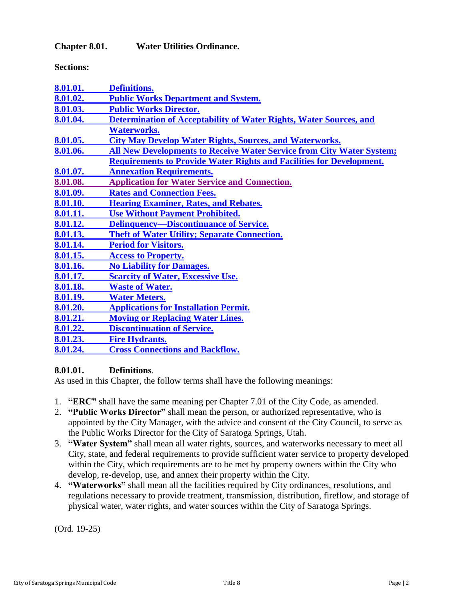<span id="page-1-0"></span>**Chapter 8.01. Water Utilities Ordinance.**

**Sections:**

| 8.01.01. | <b>Definitions.</b>                                                         |
|----------|-----------------------------------------------------------------------------|
| 8.01.02. | <b>Public Works Department and System.</b>                                  |
| 8.01.03. | <b>Public Works Director.</b>                                               |
| 8.01.04. | Determination of Acceptability of Water Rights, Water Sources, and          |
|          | <b>Waterworks.</b>                                                          |
| 8.01.05. | <b>City May Develop Water Rights, Sources, and Waterworks.</b>              |
| 8.01.06. | All New Developments to Receive Water Service from City Water System;       |
|          | <b>Requirements to Provide Water Rights and Facilities for Development.</b> |
| 8.01.07. | <b>Annexation Requirements.</b>                                             |
| 8.01.08. | <b>Application for Water Service and Connection.</b>                        |
| 8.01.09. | <b>Rates and Connection Fees.</b>                                           |
| 8.01.10. | <b>Hearing Examiner, Rates, and Rebates.</b>                                |
| 8.01.11. | <b>Use Without Payment Prohibited.</b>                                      |
| 8.01.12. | <b>Delinquency—Discontinuance of Service.</b>                               |
| 8.01.13. | <b>Theft of Water Utility; Separate Connection.</b>                         |
| 8.01.14. | <b>Period for Visitors.</b>                                                 |
| 8.01.15. | <b>Access to Property.</b>                                                  |
| 8.01.16. | <b>No Liability for Damages.</b>                                            |
| 8.01.17. | <b>Scarcity of Water, Excessive Use.</b>                                    |
| 8.01.18. | <b>Waste of Water.</b>                                                      |
| 8.01.19. | <b>Water Meters.</b>                                                        |
| 8.01.20. | <b>Applications for Installation Permit.</b>                                |
| 8.01.21. | <b>Moving or Replacing Water Lines.</b>                                     |
| 8.01.22. | <b>Discontinuation of Service.</b>                                          |
| 8.01.23. | <b>Fire Hydrants.</b>                                                       |
| 8.01.24. | <b>Cross Connections and Backflow.</b>                                      |

# <span id="page-1-1"></span>**8.01.01. Definitions**.

As used in this Chapter, the follow terms shall have the following meanings:

- 1. **"ERC"** shall have the same meaning per Chapter 7.01 of the City Code, as amended.
- 2. **"Public Works Director"** shall mean the person, or authorized representative, who is appointed by the City Manager, with the advice and consent of the City Council, to serve as the Public Works Director for the City of Saratoga Springs, Utah.
- 3. **"Water System"** shall mean all water rights, sources, and waterworks necessary to meet all City, state, and federal requirements to provide sufficient water service to property developed within the City, which requirements are to be met by property owners within the City who develop, re-develop, use, and annex their property within the City.
- 4. **"Waterworks"** shall mean all the facilities required by City ordinances, resolutions, and regulations necessary to provide treatment, transmission, distribution, fireflow, and storage of physical water, water rights, and water sources within the City of Saratoga Springs.

(Ord. 19-25)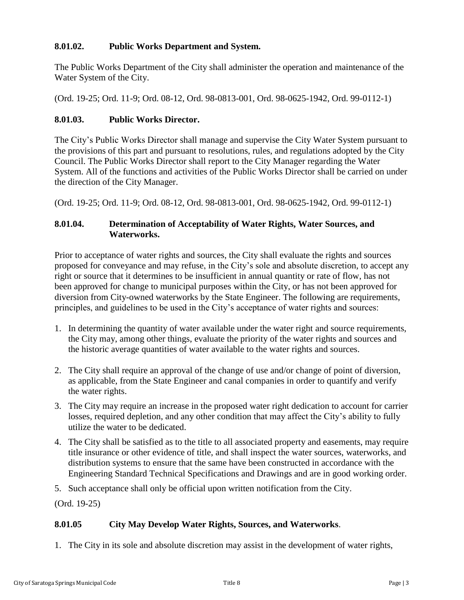# <span id="page-2-0"></span>**8.01.02. Public Works Department and System.**

The Public Works Department of the City shall administer the operation and maintenance of the Water System of the City.

(Ord. 19-25; Ord. 11-9; Ord. 08-12, Ord. 98-0813-001, Ord. 98-0625-1942, Ord. 99-0112-1)

### <span id="page-2-1"></span>**8.01.03. Public Works Director.**

The City's Public Works Director shall manage and supervise the City Water System pursuant to the provisions of this part and pursuant to resolutions, rules, and regulations adopted by the City Council. The Public Works Director shall report to the City Manager regarding the Water System. All of the functions and activities of the Public Works Director shall be carried on under the direction of the City Manager.

(Ord. 19-25; Ord. 11-9; Ord. 08-12, Ord. 98-0813-001, Ord. 98-0625-1942, Ord. 99-0112-1)

### <span id="page-2-2"></span>**8.01.04. Determination of Acceptability of Water Rights, Water Sources, and Waterworks.**

Prior to acceptance of water rights and sources, the City shall evaluate the rights and sources proposed for conveyance and may refuse, in the City's sole and absolute discretion, to accept any right or source that it determines to be insufficient in annual quantity or rate of flow, has not been approved for change to municipal purposes within the City, or has not been approved for diversion from City-owned waterworks by the State Engineer. The following are requirements, principles, and guidelines to be used in the City's acceptance of water rights and sources:

- 1. In determining the quantity of water available under the water right and source requirements, the City may, among other things, evaluate the priority of the water rights and sources and the historic average quantities of water available to the water rights and sources.
- 2. The City shall require an approval of the change of use and/or change of point of diversion, as applicable, from the State Engineer and canal companies in order to quantify and verify the water rights.
- 3. The City may require an increase in the proposed water right dedication to account for carrier losses, required depletion, and any other condition that may affect the City's ability to fully utilize the water to be dedicated.
- 4. The City shall be satisfied as to the title to all associated property and easements, may require title insurance or other evidence of title, and shall inspect the water sources, waterworks, and distribution systems to ensure that the same have been constructed in accordance with the Engineering Standard Technical Specifications and Drawings and are in good working order.
- 5. Such acceptance shall only be official upon written notification from the City.

(Ord. 19-25)

### <span id="page-2-3"></span>**8.01.05 City May Develop Water Rights, Sources, and Waterworks**.

1. The City in its sole and absolute discretion may assist in the development of water rights,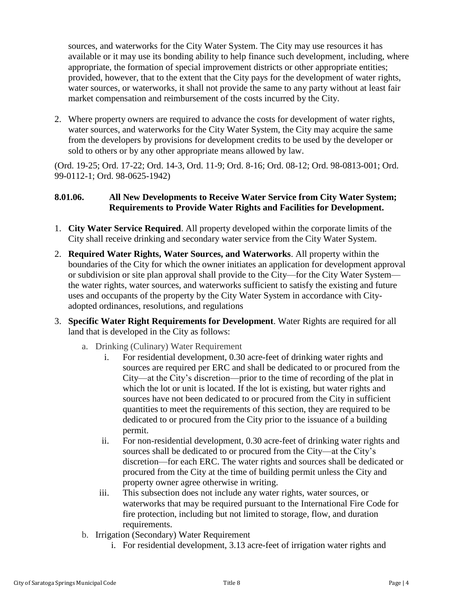sources, and waterworks for the City Water System. The City may use resources it has available or it may use its bonding ability to help finance such development, including, where appropriate, the formation of special improvement districts or other appropriate entities; provided, however, that to the extent that the City pays for the development of water rights, water sources, or waterworks, it shall not provide the same to any party without at least fair market compensation and reimbursement of the costs incurred by the City.

2. Where property owners are required to advance the costs for development of water rights, water sources, and waterworks for the City Water System, the City may acquire the same from the developers by provisions for development credits to be used by the developer or sold to others or by any other appropriate means allowed by law.

(Ord. 19-25; Ord. 17-22; Ord. 14-3, Ord. 11-9; Ord. 8-16; Ord. 08-12; Ord. 98-0813-001; Ord. 99-0112-1; Ord. 98-0625-1942)

# <span id="page-3-0"></span>**8.01.06. All New Developments to Receive Water Service from City Water System; Requirements to Provide Water Rights and Facilities for Development.**

- 1. **City Water Service Required**. All property developed within the corporate limits of the City shall receive drinking and secondary water service from the City Water System.
- 2. **Required Water Rights, Water Sources, and Waterworks**. All property within the boundaries of the City for which the owner initiates an application for development approval or subdivision or site plan approval shall provide to the City—for the City Water System the water rights, water sources, and waterworks sufficient to satisfy the existing and future uses and occupants of the property by the City Water System in accordance with Cityadopted ordinances, resolutions, and regulations
- 3. **Specific Water Right Requirements for Development**. Water Rights are required for all land that is developed in the City as follows:
	- a. Drinking (Culinary) Water Requirement
		- i. For residential development, 0.30 acre-feet of drinking water rights and sources are required per ERC and shall be dedicated to or procured from the City—at the City's discretion—prior to the time of recording of the plat in which the lot or unit is located. If the lot is existing, but water rights and sources have not been dedicated to or procured from the City in sufficient quantities to meet the requirements of this section, they are required to be dedicated to or procured from the City prior to the issuance of a building permit.
		- ii. For non-residential development, 0.30 acre-feet of drinking water rights and sources shall be dedicated to or procured from the City—at the City's discretion—for each ERC. The water rights and sources shall be dedicated or procured from the City at the time of building permit unless the City and property owner agree otherwise in writing.
		- iii. This subsection does not include any water rights, water sources, or waterworks that may be required pursuant to the International Fire Code for fire protection, including but not limited to storage, flow, and duration requirements.
	- b. Irrigation (Secondary) Water Requirement
		- i. For residential development, 3.13 acre-feet of irrigation water rights and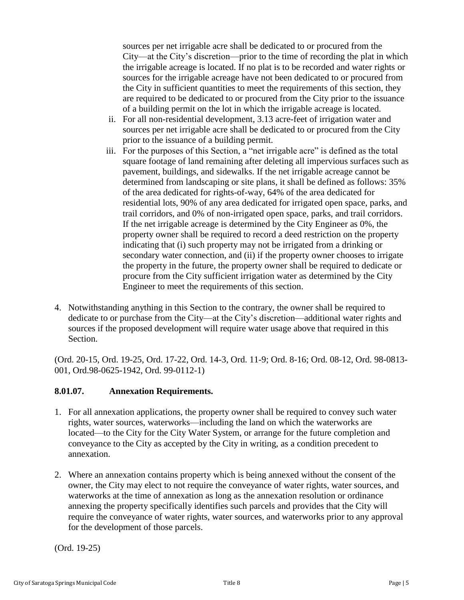sources per net irrigable acre shall be dedicated to or procured from the City—at the City's discretion—prior to the time of recording the plat in which the irrigable acreage is located. If no plat is to be recorded and water rights or sources for the irrigable acreage have not been dedicated to or procured from the City in sufficient quantities to meet the requirements of this section, they are required to be dedicated to or procured from the City prior to the issuance of a building permit on the lot in which the irrigable acreage is located.

- ii. For all non-residential development, 3.13 acre-feet of irrigation water and sources per net irrigable acre shall be dedicated to or procured from the City prior to the issuance of a building permit.
- iii. For the purposes of this Section, a "net irrigable acre" is defined as the total square footage of land remaining after deleting all impervious surfaces such as pavement, buildings, and sidewalks. If the net irrigable acreage cannot be determined from landscaping or site plans, it shall be defined as follows: 35% of the area dedicated for rights-of-way, 64% of the area dedicated for residential lots, 90% of any area dedicated for irrigated open space, parks, and trail corridors, and 0% of non-irrigated open space, parks, and trail corridors. If the net irrigable acreage is determined by the City Engineer as 0%, the property owner shall be required to record a deed restriction on the property indicating that (i) such property may not be irrigated from a drinking or secondary water connection, and (ii) if the property owner chooses to irrigate the property in the future, the property owner shall be required to dedicate or procure from the City sufficient irrigation water as determined by the City Engineer to meet the requirements of this section.
- 4. Notwithstanding anything in this Section to the contrary, the owner shall be required to dedicate to or purchase from the City—at the City's discretion—additional water rights and sources if the proposed development will require water usage above that required in this Section.

(Ord. 20-15, Ord. 19-25, Ord. 17-22, Ord. 14-3, Ord. 11-9; Ord. 8-16; Ord. 08-12, Ord. 98-0813- 001, Ord.98-0625-1942, Ord. 99-0112-1)

# <span id="page-4-0"></span>**8.01.07. Annexation Requirements.**

- 1. For all annexation applications, the property owner shall be required to convey such water rights, water sources, waterworks—including the land on which the waterworks are located—to the City for the City Water System, or arrange for the future completion and conveyance to the City as accepted by the City in writing, as a condition precedent to annexation.
- 2. Where an annexation contains property which is being annexed without the consent of the owner, the City may elect to not require the conveyance of water rights, water sources, and waterworks at the time of annexation as long as the annexation resolution or ordinance annexing the property specifically identifies such parcels and provides that the City will require the conveyance of water rights, water sources, and waterworks prior to any approval for the development of those parcels.

(Ord. 19-25)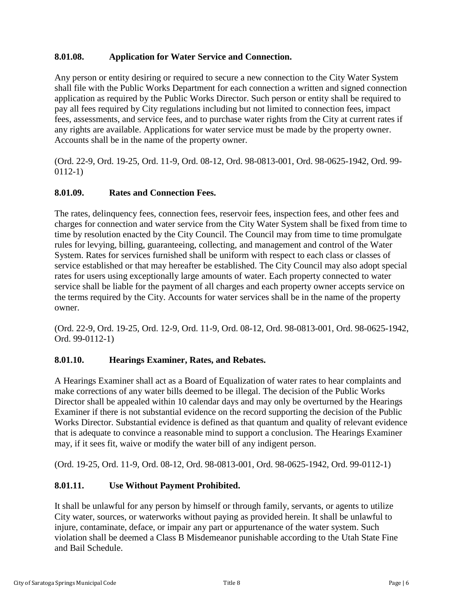## <span id="page-5-0"></span>**8.01.08. Application for Water Service and Connection.**

Any person or entity desiring or required to secure a new connection to the City Water System shall file with the Public Works Department for each connection a written and signed connection application as required by the Public Works Director. Such person or entity shall be required to pay all fees required by City regulations including but not limited to connection fees, impact fees, assessments, and service fees, and to purchase water rights from the City at current rates if any rights are available. Applications for water service must be made by the property owner. Accounts shall be in the name of the property owner.

(Ord. 22-9, Ord. 19-25, Ord. 11-9, Ord. 08-12, Ord. 98-0813-001, Ord. 98-0625-1942, Ord. 99- 0112-1)

## <span id="page-5-1"></span>**8.01.09. Rates and Connection Fees.**

The rates, delinquency fees, connection fees, reservoir fees, inspection fees, and other fees and charges for connection and water service from the City Water System shall be fixed from time to time by resolution enacted by the City Council. The Council may from time to time promulgate rules for levying, billing, guaranteeing, collecting, and management and control of the Water System. Rates for services furnished shall be uniform with respect to each class or classes of service established or that may hereafter be established. The City Council may also adopt special rates for users using exceptionally large amounts of water. Each property connected to water service shall be liable for the payment of all charges and each property owner accepts service on the terms required by the City. Accounts for water services shall be in the name of the property owner.

(Ord. 22-9, Ord. 19-25, Ord. 12-9, Ord. 11-9, Ord. 08-12, Ord. 98-0813-001, Ord. 98-0625-1942, Ord. 99-0112-1)

# <span id="page-5-2"></span>**8.01.10. Hearings Examiner, Rates, and Rebates.**

A Hearings Examiner shall act as a Board of Equalization of water rates to hear complaints and make corrections of any water bills deemed to be illegal. The decision of the Public Works Director shall be appealed within 10 calendar days and may only be overturned by the Hearings Examiner if there is not substantial evidence on the record supporting the decision of the Public Works Director. Substantial evidence is defined as that quantum and quality of relevant evidence that is adequate to convince a reasonable mind to support a conclusion. The Hearings Examiner may, if it sees fit, waive or modify the water bill of any indigent person.

(Ord. 19-25, Ord. 11-9, Ord. 08-12, Ord. 98-0813-001, Ord. 98-0625-1942, Ord. 99-0112-1)

# <span id="page-5-3"></span>**8.01.11. Use Without Payment Prohibited.**

It shall be unlawful for any person by himself or through family, servants, or agents to utilize City water, sources, or waterworks without paying as provided herein. It shall be unlawful to injure, contaminate, deface, or impair any part or appurtenance of the water system. Such violation shall be deemed a Class B Misdemeanor punishable according to the Utah State Fine and Bail Schedule.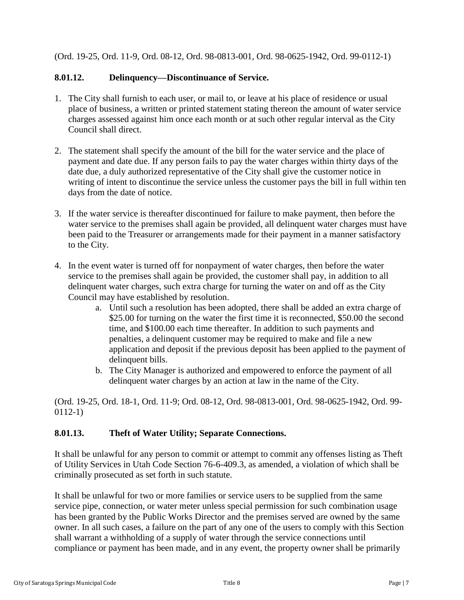(Ord. 19-25, Ord. 11-9, Ord. 08-12, Ord. 98-0813-001, Ord. 98-0625-1942, Ord. 99-0112-1)

## <span id="page-6-0"></span>**8.01.12. Delinquency—Discontinuance of Service.**

- 1. The City shall furnish to each user, or mail to, or leave at his place of residence or usual place of business, a written or printed statement stating thereon the amount of water service charges assessed against him once each month or at such other regular interval as the City Council shall direct.
- 2. The statement shall specify the amount of the bill for the water service and the place of payment and date due. If any person fails to pay the water charges within thirty days of the date due, a duly authorized representative of the City shall give the customer notice in writing of intent to discontinue the service unless the customer pays the bill in full within ten days from the date of notice.
- 3. If the water service is thereafter discontinued for failure to make payment, then before the water service to the premises shall again be provided, all delinquent water charges must have been paid to the Treasurer or arrangements made for their payment in a manner satisfactory to the City.
- 4. In the event water is turned off for nonpayment of water charges, then before the water service to the premises shall again be provided, the customer shall pay, in addition to all delinquent water charges, such extra charge for turning the water on and off as the City Council may have established by resolution.
	- a. Until such a resolution has been adopted, there shall be added an extra charge of \$25.00 for turning on the water the first time it is reconnected, \$50.00 the second time, and \$100.00 each time thereafter. In addition to such payments and penalties, a delinquent customer may be required to make and file a new application and deposit if the previous deposit has been applied to the payment of delinquent bills.
	- b. The City Manager is authorized and empowered to enforce the payment of all delinquent water charges by an action at law in the name of the City.

(Ord. 19-25, Ord. 18-1, Ord. 11-9; Ord. 08-12, Ord. 98-0813-001, Ord. 98-0625-1942, Ord. 99- 0112-1)

# <span id="page-6-1"></span>**8.01.13. Theft of Water Utility; Separate Connections.**

It shall be unlawful for any person to commit or attempt to commit any offenses listing as Theft of Utility Services in Utah Code Section 76-6-409.3, as amended, a violation of which shall be criminally prosecuted as set forth in such statute.

It shall be unlawful for two or more families or service users to be supplied from the same service pipe, connection, or water meter unless special permission for such combination usage has been granted by the Public Works Director and the premises served are owned by the same owner. In all such cases, a failure on the part of any one of the users to comply with this Section shall warrant a withholding of a supply of water through the service connections until compliance or payment has been made, and in any event, the property owner shall be primarily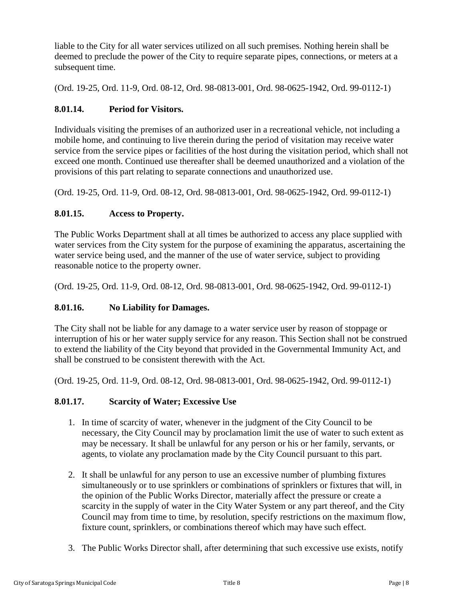liable to the City for all water services utilized on all such premises. Nothing herein shall be deemed to preclude the power of the City to require separate pipes, connections, or meters at a subsequent time.

(Ord. 19-25, Ord. 11-9, Ord. 08-12, Ord. 98-0813-001, Ord. 98-0625-1942, Ord. 99-0112-1)

# <span id="page-7-0"></span>**8.01.14. Period for Visitors.**

Individuals visiting the premises of an authorized user in a recreational vehicle, not including a mobile home, and continuing to live therein during the period of visitation may receive water service from the service pipes or facilities of the host during the visitation period, which shall not exceed one month. Continued use thereafter shall be deemed unauthorized and a violation of the provisions of this part relating to separate connections and unauthorized use.

(Ord. 19-25, Ord. 11-9, Ord. 08-12, Ord. 98-0813-001, Ord. 98-0625-1942, Ord. 99-0112-1)

# <span id="page-7-1"></span>**8.01.15. Access to Property.**

The Public Works Department shall at all times be authorized to access any place supplied with water services from the City system for the purpose of examining the apparatus, ascertaining the water service being used, and the manner of the use of water service, subject to providing reasonable notice to the property owner.

(Ord. 19-25, Ord. 11-9, Ord. 08-12, Ord. 98-0813-001, Ord. 98-0625-1942, Ord. 99-0112-1)

# <span id="page-7-2"></span>**8.01.16. No Liability for Damages.**

The City shall not be liable for any damage to a water service user by reason of stoppage or interruption of his or her water supply service for any reason. This Section shall not be construed to extend the liability of the City beyond that provided in the Governmental Immunity Act, and shall be construed to be consistent therewith with the Act.

(Ord. 19-25, Ord. 11-9, Ord. 08-12, Ord. 98-0813-001, Ord. 98-0625-1942, Ord. 99-0112-1)

### <span id="page-7-3"></span>**8.01.17. Scarcity of Water; Excessive Use**

- 1. In time of scarcity of water, whenever in the judgment of the City Council to be necessary, the City Council may by proclamation limit the use of water to such extent as may be necessary. It shall be unlawful for any person or his or her family, servants, or agents, to violate any proclamation made by the City Council pursuant to this part.
- 2. It shall be unlawful for any person to use an excessive number of plumbing fixtures simultaneously or to use sprinklers or combinations of sprinklers or fixtures that will, in the opinion of the Public Works Director, materially affect the pressure or create a scarcity in the supply of water in the City Water System or any part thereof, and the City Council may from time to time, by resolution, specify restrictions on the maximum flow, fixture count, sprinklers, or combinations thereof which may have such effect.
- 3. The Public Works Director shall, after determining that such excessive use exists, notify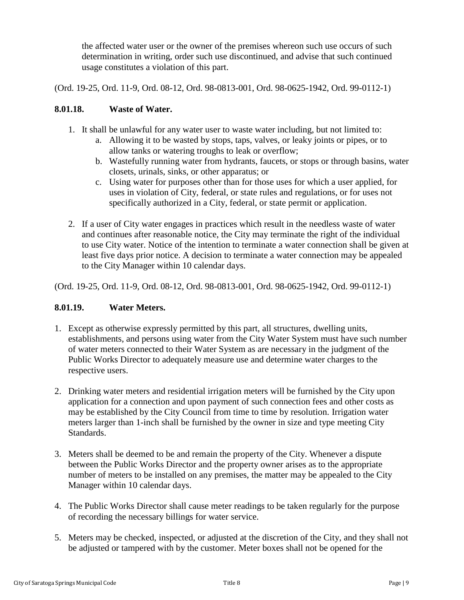the affected water user or the owner of the premises whereon such use occurs of such determination in writing, order such use discontinued, and advise that such continued usage constitutes a violation of this part.

(Ord. 19-25, Ord. 11-9, Ord. 08-12, Ord. 98-0813-001, Ord. 98-0625-1942, Ord. 99-0112-1)

## <span id="page-8-0"></span>**8.01.18. Waste of Water.**

- 1. It shall be unlawful for any water user to waste water including, but not limited to:
	- a. Allowing it to be wasted by stops, taps, valves, or leaky joints or pipes, or to allow tanks or watering troughs to leak or overflow;
	- b. Wastefully running water from hydrants, faucets, or stops or through basins, water closets, urinals, sinks, or other apparatus; or
	- c. Using water for purposes other than for those uses for which a user applied, for uses in violation of City, federal, or state rules and regulations, or for uses not specifically authorized in a City, federal, or state permit or application.
- 2. If a user of City water engages in practices which result in the needless waste of water and continues after reasonable notice, the City may terminate the right of the individual to use City water. Notice of the intention to terminate a water connection shall be given at least five days prior notice. A decision to terminate a water connection may be appealed to the City Manager within 10 calendar days.

(Ord. 19-25, Ord. 11-9, Ord. 08-12, Ord. 98-0813-001, Ord. 98-0625-1942, Ord. 99-0112-1)

# <span id="page-8-1"></span>**8.01.19. Water Meters.**

- 1. Except as otherwise expressly permitted by this part, all structures, dwelling units, establishments, and persons using water from the City Water System must have such number of water meters connected to their Water System as are necessary in the judgment of the Public Works Director to adequately measure use and determine water charges to the respective users.
- 2. Drinking water meters and residential irrigation meters will be furnished by the City upon application for a connection and upon payment of such connection fees and other costs as may be established by the City Council from time to time by resolution. Irrigation water meters larger than 1-inch shall be furnished by the owner in size and type meeting City Standards.
- 3. Meters shall be deemed to be and remain the property of the City. Whenever a dispute between the Public Works Director and the property owner arises as to the appropriate number of meters to be installed on any premises, the matter may be appealed to the City Manager within 10 calendar days.
- 4. The Public Works Director shall cause meter readings to be taken regularly for the purpose of recording the necessary billings for water service.
- 5. Meters may be checked, inspected, or adjusted at the discretion of the City, and they shall not be adjusted or tampered with by the customer. Meter boxes shall not be opened for the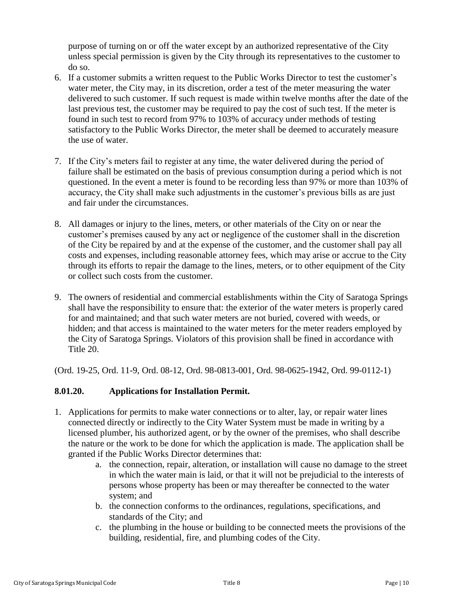purpose of turning on or off the water except by an authorized representative of the City unless special permission is given by the City through its representatives to the customer to do so.

- 6. If a customer submits a written request to the Public Works Director to test the customer's water meter, the City may, in its discretion, order a test of the meter measuring the water delivered to such customer. If such request is made within twelve months after the date of the last previous test, the customer may be required to pay the cost of such test. If the meter is found in such test to record from 97% to 103% of accuracy under methods of testing satisfactory to the Public Works Director, the meter shall be deemed to accurately measure the use of water.
- 7. If the City's meters fail to register at any time, the water delivered during the period of failure shall be estimated on the basis of previous consumption during a period which is not questioned. In the event a meter is found to be recording less than 97% or more than 103% of accuracy, the City shall make such adjustments in the customer's previous bills as are just and fair under the circumstances.
- 8. All damages or injury to the lines, meters, or other materials of the City on or near the customer's premises caused by any act or negligence of the customer shall in the discretion of the City be repaired by and at the expense of the customer, and the customer shall pay all costs and expenses, including reasonable attorney fees, which may arise or accrue to the City through its efforts to repair the damage to the lines, meters, or to other equipment of the City or collect such costs from the customer.
- 9. The owners of residential and commercial establishments within the City of Saratoga Springs shall have the responsibility to ensure that: the exterior of the water meters is properly cared for and maintained; and that such water meters are not buried, covered with weeds, or hidden; and that access is maintained to the water meters for the meter readers employed by the City of Saratoga Springs. Violators of this provision shall be fined in accordance with Title 20.

(Ord. 19-25, Ord. 11-9, Ord. 08-12, Ord. 98-0813-001, Ord. 98-0625-1942, Ord. 99-0112-1)

# <span id="page-9-0"></span>**8.01.20. Applications for Installation Permit.**

- 1. Applications for permits to make water connections or to alter, lay, or repair water lines connected directly or indirectly to the City Water System must be made in writing by a licensed plumber, his authorized agent, or by the owner of the premises, who shall describe the nature or the work to be done for which the application is made. The application shall be granted if the Public Works Director determines that:
	- a. the connection, repair, alteration, or installation will cause no damage to the street in which the water main is laid, or that it will not be prejudicial to the interests of persons whose property has been or may thereafter be connected to the water system; and
	- b. the connection conforms to the ordinances, regulations, specifications, and standards of the City; and
	- c. the plumbing in the house or building to be connected meets the provisions of the building, residential, fire, and plumbing codes of the City.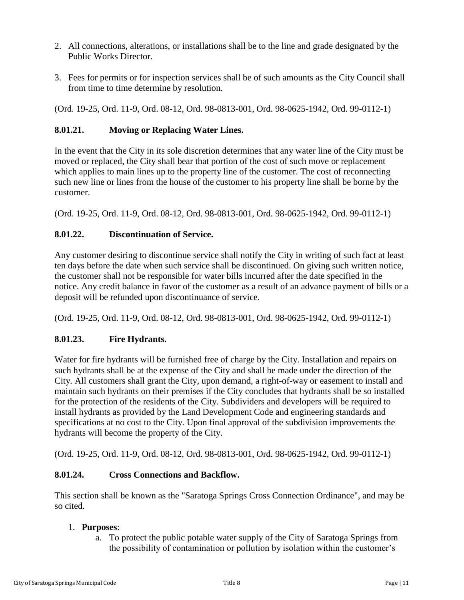- 2. All connections, alterations, or installations shall be to the line and grade designated by the Public Works Director.
- 3. Fees for permits or for inspection services shall be of such amounts as the City Council shall from time to time determine by resolution.

(Ord. 19-25, Ord. 11-9, Ord. 08-12, Ord. 98-0813-001, Ord. 98-0625-1942, Ord. 99-0112-1)

# <span id="page-10-0"></span>**8.01.21. Moving or Replacing Water Lines.**

In the event that the City in its sole discretion determines that any water line of the City must be moved or replaced, the City shall bear that portion of the cost of such move or replacement which applies to main lines up to the property line of the customer. The cost of reconnecting such new line or lines from the house of the customer to his property line shall be borne by the customer.

(Ord. 19-25, Ord. 11-9, Ord. 08-12, Ord. 98-0813-001, Ord. 98-0625-1942, Ord. 99-0112-1)

# <span id="page-10-1"></span>**8.01.22. Discontinuation of Service.**

Any customer desiring to discontinue service shall notify the City in writing of such fact at least ten days before the date when such service shall be discontinued. On giving such written notice, the customer shall not be responsible for water bills incurred after the date specified in the notice. Any credit balance in favor of the customer as a result of an advance payment of bills or a deposit will be refunded upon discontinuance of service.

(Ord. 19-25, Ord. 11-9, Ord. 08-12, Ord. 98-0813-001, Ord. 98-0625-1942, Ord. 99-0112-1)

# <span id="page-10-2"></span>**8.01.23. Fire Hydrants.**

Water for fire hydrants will be furnished free of charge by the City. Installation and repairs on such hydrants shall be at the expense of the City and shall be made under the direction of the City. All customers shall grant the City, upon demand, a right-of-way or easement to install and maintain such hydrants on their premises if the City concludes that hydrants shall be so installed for the protection of the residents of the City. Subdividers and developers will be required to install hydrants as provided by the Land Development Code and engineering standards and specifications at no cost to the City. Upon final approval of the subdivision improvements the hydrants will become the property of the City.

(Ord. 19-25, Ord. 11-9, Ord. 08-12, Ord. 98-0813-001, Ord. 98-0625-1942, Ord. 99-0112-1)

# <span id="page-10-3"></span>**8.01.24. Cross Connections and Backflow.**

This section shall be known as the "Saratoga Springs Cross Connection Ordinance", and may be so cited.

# 1. **Purposes**:

a. To protect the public potable water supply of the City of Saratoga Springs from the possibility of contamination or pollution by isolation within the customer's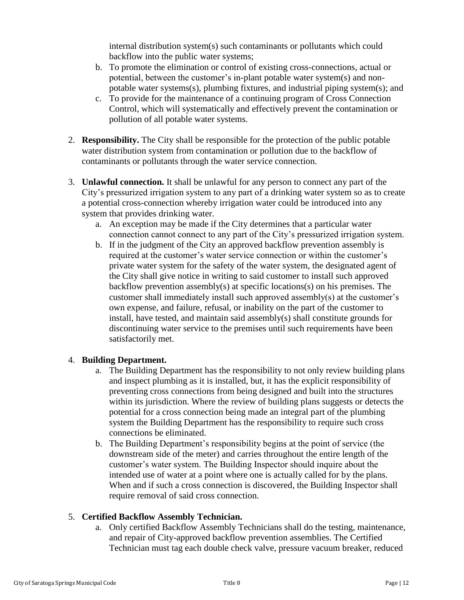internal distribution system(s) such contaminants or pollutants which could backflow into the public water systems;

- b. To promote the elimination or control of existing cross-connections, actual or potential, between the customer's in-plant potable water system(s) and nonpotable water systems(s), plumbing fixtures, and industrial piping system(s); and
- c. To provide for the maintenance of a continuing program of Cross Connection Control, which will systematically and effectively prevent the contamination or pollution of all potable water systems.
- 2. **Responsibility.** The City shall be responsible for the protection of the public potable water distribution system from contamination or pollution due to the backflow of contaminants or pollutants through the water service connection.
- 3. **Unlawful connection.** It shall be unlawful for any person to connect any part of the City's pressurized irrigation system to any part of a drinking water system so as to create a potential cross-connection whereby irrigation water could be introduced into any system that provides drinking water.
	- a. An exception may be made if the City determines that a particular water connection cannot connect to any part of the City's pressurized irrigation system.
	- b. If in the judgment of the City an approved backflow prevention assembly is required at the customer's water service connection or within the customer's private water system for the safety of the water system, the designated agent of the City shall give notice in writing to said customer to install such approved backflow prevention assembly(s) at specific locations(s) on his premises. The customer shall immediately install such approved assembly(s) at the customer's own expense, and failure, refusal, or inability on the part of the customer to install, have tested, and maintain said assembly(s) shall constitute grounds for discontinuing water service to the premises until such requirements have been satisfactorily met.

# 4. **Building Department.**

- a. The Building Department has the responsibility to not only review building plans and inspect plumbing as it is installed, but, it has the explicit responsibility of preventing cross connections from being designed and built into the structures within its jurisdiction. Where the review of building plans suggests or detects the potential for a cross connection being made an integral part of the plumbing system the Building Department has the responsibility to require such cross connections be eliminated.
- b. The Building Department's responsibility begins at the point of service (the downstream side of the meter) and carries throughout the entire length of the customer's water system. The Building Inspector should inquire about the intended use of water at a point where one is actually called for by the plans. When and if such a cross connection is discovered, the Building Inspector shall require removal of said cross connection.

# 5. **Certified Backflow Assembly Technician.**

a. Only certified Backflow Assembly Technicians shall do the testing, maintenance, and repair of City-approved backflow prevention assemblies. The Certified Technician must tag each double check valve, pressure vacuum breaker, reduced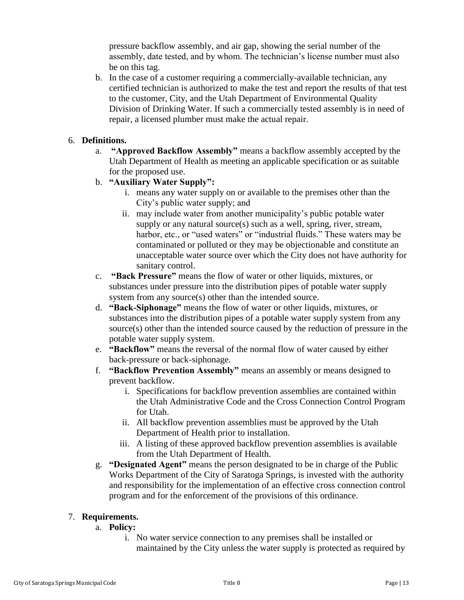pressure backflow assembly, and air gap, showing the serial number of the assembly, date tested, and by whom. The technician's license number must also be on this tag.

b. In the case of a customer requiring a commercially-available technician, any certified technician is authorized to make the test and report the results of that test to the customer, City, and the Utah Department of Environmental Quality Division of Drinking Water. If such a commercially tested assembly is in need of repair, a licensed plumber must make the actual repair.

## 6. **Definitions.**

- a. **"Approved Backflow Assembly"** means a backflow assembly accepted by the Utah Department of Health as meeting an applicable specification or as suitable for the proposed use.
- b. **"Auxiliary Water Supply":**
	- i. means any water supply on or available to the premises other than the City's public water supply; and
	- ii. may include water from another municipality's public potable water supply or any natural source(s) such as a well, spring, river, stream, harbor, etc., or "used waters" or "industrial fluids." These waters may be contaminated or polluted or they may be objectionable and constitute an unacceptable water source over which the City does not have authority for sanitary control.
- c. **"Back Pressure"** means the flow of water or other liquids, mixtures, or substances under pressure into the distribution pipes of potable water supply system from any source(s) other than the intended source.
- d. **"Back-Siphonage"** means the flow of water or other liquids, mixtures, or substances into the distribution pipes of a potable water supply system from any source(s) other than the intended source caused by the reduction of pressure in the potable water supply system.
- e. **"Backflow"** means the reversal of the normal flow of water caused by either back-pressure or back-siphonage.
- f. **"Backflow Prevention Assembly"** means an assembly or means designed to prevent backflow.
	- i. Specifications for backflow prevention assemblies are contained within the Utah Administrative Code and the Cross Connection Control Program for Utah.
	- ii. All backflow prevention assemblies must be approved by the Utah Department of Health prior to installation.
	- iii. A listing of these approved backflow prevention assemblies is available from the Utah Department of Health.
- g. **"Designated Agent"** means the person designated to be in charge of the Public Works Department of the City of Saratoga Springs, is invested with the authority and responsibility for the implementation of an effective cross connection control program and for the enforcement of the provisions of this ordinance.

# 7. **Requirements.**

- a. **Policy:**
	- i. No water service connection to any premises shall be installed or maintained by the City unless the water supply is protected as required by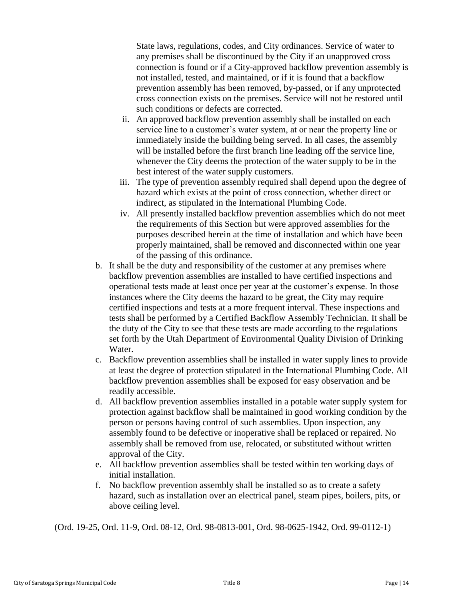State laws, regulations, codes, and City ordinances. Service of water to any premises shall be discontinued by the City if an unapproved cross connection is found or if a City-approved backflow prevention assembly is not installed, tested, and maintained, or if it is found that a backflow prevention assembly has been removed, by-passed, or if any unprotected cross connection exists on the premises. Service will not be restored until such conditions or defects are corrected.

- ii. An approved backflow prevention assembly shall be installed on each service line to a customer's water system, at or near the property line or immediately inside the building being served. In all cases, the assembly will be installed before the first branch line leading off the service line, whenever the City deems the protection of the water supply to be in the best interest of the water supply customers.
- iii. The type of prevention assembly required shall depend upon the degree of hazard which exists at the point of cross connection, whether direct or indirect, as stipulated in the International Plumbing Code.
- iv. All presently installed backflow prevention assemblies which do not meet the requirements of this Section but were approved assemblies for the purposes described herein at the time of installation and which have been properly maintained, shall be removed and disconnected within one year of the passing of this ordinance.
- b. It shall be the duty and responsibility of the customer at any premises where backflow prevention assemblies are installed to have certified inspections and operational tests made at least once per year at the customer's expense. In those instances where the City deems the hazard to be great, the City may require certified inspections and tests at a more frequent interval. These inspections and tests shall be performed by a Certified Backflow Assembly Technician. It shall be the duty of the City to see that these tests are made according to the regulations set forth by the Utah Department of Environmental Quality Division of Drinking Water.
- c. Backflow prevention assemblies shall be installed in water supply lines to provide at least the degree of protection stipulated in the International Plumbing Code. All backflow prevention assemblies shall be exposed for easy observation and be readily accessible.
- d. All backflow prevention assemblies installed in a potable water supply system for protection against backflow shall be maintained in good working condition by the person or persons having control of such assemblies. Upon inspection, any assembly found to be defective or inoperative shall be replaced or repaired. No assembly shall be removed from use, relocated, or substituted without written approval of the City.
- e. All backflow prevention assemblies shall be tested within ten working days of initial installation.
- f. No backflow prevention assembly shall be installed so as to create a safety hazard, such as installation over an electrical panel, steam pipes, boilers, pits, or above ceiling level.

(Ord. 19-25, Ord. 11-9, Ord. 08-12, Ord. 98-0813-001, Ord. 98-0625-1942, Ord. 99-0112-1)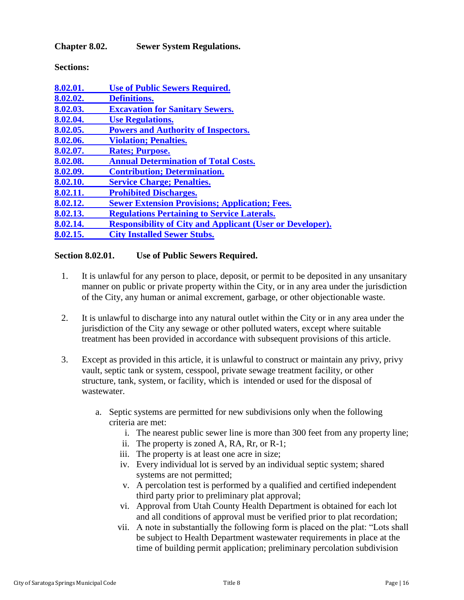<span id="page-15-0"></span>**Chapter 8.02. Sewer System Regulations.**

**Sections:**

| 8.02.01. | <b>Use of Public Sewers Required.</b>                            |
|----------|------------------------------------------------------------------|
| 8.02.02. | <b>Definitions.</b>                                              |
| 8.02.03. | <b>Excavation for Sanitary Sewers.</b>                           |
| 8.02.04. | <b>Use Regulations.</b>                                          |
| 8.02.05. | <b>Powers and Authority of Inspectors.</b>                       |
| 8.02.06. | <b>Violation; Penalties.</b>                                     |
| 8.02.07. | <b>Rates; Purpose.</b>                                           |
| 8.02.08. | <b>Annual Determination of Total Costs.</b>                      |
| 8.02.09. | <b>Contribution; Determination.</b>                              |
| 8.02.10. | <b>Service Charge; Penalties.</b>                                |
| 8.02.11. | <b>Prohibited Discharges.</b>                                    |
| 8.02.12. | <b>Sewer Extension Provisions; Application; Fees.</b>            |
| 8.02.13. | <b>Regulations Pertaining to Service Laterals.</b>               |
| 8.02.14. | <b>Responsibility of City and Applicant (User or Developer).</b> |
| 8.02.15. | <b>City Installed Sewer Stubs.</b>                               |

## <span id="page-15-1"></span>**Section 8.02.01. Use of Public Sewers Required.**

- 1. It is unlawful for any person to place, deposit, or permit to be deposited in any unsanitary manner on public or private property within the City, or in any area under the jurisdiction of the City, any human or animal excrement, garbage, or other objectionable waste.
- 2. It is unlawful to discharge into any natural outlet within the City or in any area under the jurisdiction of the City any sewage or other polluted waters, except where suitable treatment has been provided in accordance with subsequent provisions of this article.
- 3. Except as provided in this article, it is unlawful to construct or maintain any privy, privy vault, septic tank or system, cesspool, private sewage treatment facility, or other structure, tank, system, or facility, which is intended or used for the disposal of wastewater.
	- a. Septic systems are permitted for new subdivisions only when the following criteria are met:
		- i. The nearest public sewer line is more than 300 feet from any property line;
		- ii. The property is zoned A, RA, Rr, or R-1;
		- iii. The property is at least one acre in size;
		- iv. Every individual lot is served by an individual septic system; shared systems are not permitted;
		- v. A percolation test is performed by a qualified and certified independent third party prior to preliminary plat approval;
		- vi. Approval from Utah County Health Department is obtained for each lot and all conditions of approval must be verified prior to plat recordation;
		- vii. A note in substantially the following form is placed on the plat: "Lots shall be subject to Health Department wastewater requirements in place at the time of building permit application; preliminary percolation subdivision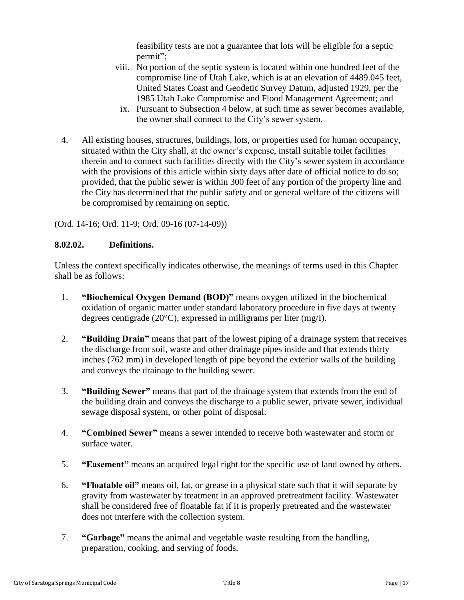feasibility tests are not a guarantee that lots will be eligible for a septic permit";

- viii. No portion of the septic system is located within one hundred feet of the compromise line of Utah Lake, which is at an elevation of 4489.045 feet, United States Coast and Geodetic Survey Datum, adjusted 1929, per the 1985 Utah Lake Compromise and Flood Management Agreement; and
	- ix. Pursuant to Subsection 4 below, at such time as sewer becomes available, the owner shall connect to the City's sewer system.
- 4. All existing houses, structures, buildings, lots, or properties used for human occupancy, situated within the City shall, at the owner's expense, install suitable toilet facilities therein and to connect such facilities directly with the City's sewer system in accordance with the provisions of this article within sixty days after date of official notice to do so; provided, that the public sewer is within 300 feet of any portion of the property line and the City has determined that the public safety and or general welfare of the citizens will be compromised by remaining on septic.

(Ord. 14-16; Ord. 11-9; Ord. 09-16 (07-14-09))

### <span id="page-16-0"></span>**8.02.02. Definitions.**

Unless the context specifically indicates otherwise, the meanings of terms used in this Chapter shall be as follows:

- 1. **"Biochemical Oxygen Demand (BOD)"** means oxygen utilized in the biochemical oxidation of organic matter under standard laboratory procedure in five days at twenty degrees centigrade (20°C), expressed in milligrams per liter (mg/I).
- 2. **"Building Drain"** means that part of the lowest piping of a drainage system that receives the discharge from soil, waste and other drainage pipes inside and that extends thirty inches (762 mm) in developed length of pipe beyond the exterior walls of the building and conveys the drainage to the building sewer.
- 3. **"Building Sewer"** means that part of the drainage system that extends from the end of the building drain and conveys the discharge to a public sewer, private sewer, individual sewage disposal system, or other point of disposal.
- 4. **"Combined Sewer"** means a sewer intended to receive both wastewater and storm or surface water.
- 5. **"Easement"** means an acquired legal right for the specific use of land owned by others.
- 6. **"Floatable oil"** means oil, fat, or grease in a physical state such that it will separate by gravity from wastewater by treatment in an approved pretreatment facility. Wastewater shall be considered free of floatable fat if it is properly pretreated and the wastewater does not interfere with the collection system.
- 7. **"Garbage"** means the animal and vegetable waste resulting from the handling, preparation, cooking, and serving of foods.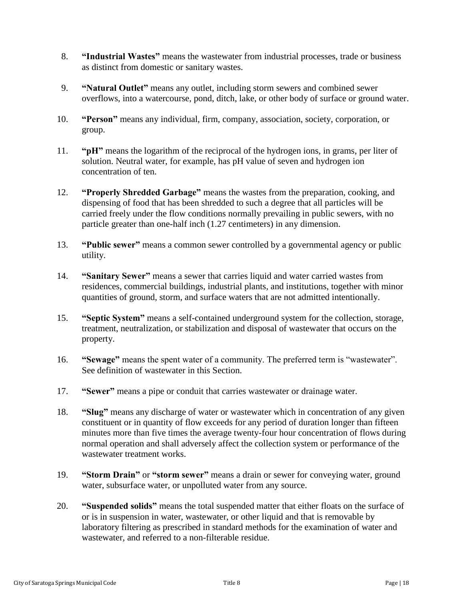- 8. **"Industrial Wastes"** means the wastewater from industrial processes, trade or business as distinct from domestic or sanitary wastes.
- 9. **"Natural Outlet"** means any outlet, including storm sewers and combined sewer overflows, into a watercourse, pond, ditch, lake, or other body of surface or ground water.
- 10. **"Person"** means any individual, firm, company, association, society, corporation, or group.
- 11. **"pH"** means the logarithm of the reciprocal of the hydrogen ions, in grams, per liter of solution. Neutral water, for example, has pH value of seven and hydrogen ion concentration of ten.
- 12. **"Properly Shredded Garbage"** means the wastes from the preparation, cooking, and dispensing of food that has been shredded to such a degree that all particles will be carried freely under the flow conditions normally prevailing in public sewers, with no particle greater than one-half inch (1.27 centimeters) in any dimension.
- 13. **"Public sewer"** means a common sewer controlled by a governmental agency or public utility.
- 14. **"Sanitary Sewer"** means a sewer that carries liquid and water carried wastes from residences, commercial buildings, industrial plants, and institutions, together with minor quantities of ground, storm, and surface waters that are not admitted intentionally.
- 15. **"Septic System"** means a self-contained underground system for the collection, storage, treatment, neutralization, or stabilization and disposal of wastewater that occurs on the property.
- 16. **"Sewage"** means the spent water of a community. The preferred term is "wastewater". See definition of wastewater in this Section.
- 17. **"Sewer"** means a pipe or conduit that carries wastewater or drainage water.
- 18. **"Slug"** means any discharge of water or wastewater which in concentration of any given constituent or in quantity of flow exceeds for any period of duration longer than fifteen minutes more than five times the average twenty-four hour concentration of flows during normal operation and shall adversely affect the collection system or performance of the wastewater treatment works.
- 19. **"Storm Drain"** or **"storm sewer"** means a drain or sewer for conveying water, ground water, subsurface water, or unpolluted water from any source.
- 20. **"Suspended solids"** means the total suspended matter that either floats on the surface of or is in suspension in water, wastewater, or other liquid and that is removable by laboratory filtering as prescribed in standard methods for the examination of water and wastewater, and referred to a non-filterable residue.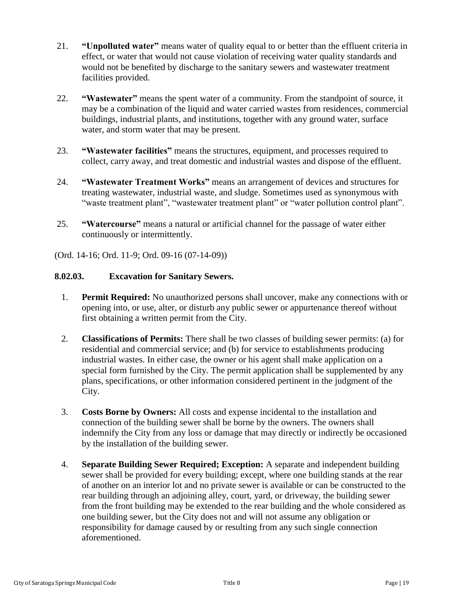- 21. **"Unpolluted water"** means water of quality equal to or better than the effluent criteria in effect, or water that would not cause violation of receiving water quality standards and would not be benefited by discharge to the sanitary sewers and wastewater treatment facilities provided.
- 22. **"Wastewater"** means the spent water of a community. From the standpoint of source, it may be a combination of the liquid and water carried wastes from residences, commercial buildings, industrial plants, and institutions, together with any ground water, surface water, and storm water that may be present.
- 23. **"Wastewater facilities"** means the structures, equipment, and processes required to collect, carry away, and treat domestic and industrial wastes and dispose of the effluent.
- 24. **"Wastewater Treatment Works"** means an arrangement of devices and structures for treating wastewater, industrial waste, and sludge. Sometimes used as synonymous with "waste treatment plant", "wastewater treatment plant" or "water pollution control plant".
- 25. **"Watercourse"** means a natural or artificial channel for the passage of water either continuously or intermittently.

(Ord. 14-16; Ord. 11-9; Ord. 09-16 (07-14-09))

### <span id="page-18-0"></span>**8.02.03. Excavation for Sanitary Sewers.**

- 1. **Permit Required:** No unauthorized persons shall uncover, make any connections with or opening into, or use, alter, or disturb any public sewer or appurtenance thereof without first obtaining a written permit from the City.
- 2. **Classifications of Permits:** There shall be two classes of building sewer permits: (a) for residential and commercial service; and (b) for service to establishments producing industrial wastes. In either case, the owner or his agent shall make application on a special form furnished by the City. The permit application shall be supplemented by any plans, specifications, or other information considered pertinent in the judgment of the City.
- 3. **Costs Borne by Owners:** All costs and expense incidental to the installation and connection of the building sewer shall be borne by the owners. The owners shall indemnify the City from any loss or damage that may directly or indirectly be occasioned by the installation of the building sewer.
- 4. **Separate Building Sewer Required; Exception:** A separate and independent building sewer shall be provided for every building; except, where one building stands at the rear of another on an interior lot and no private sewer is available or can be constructed to the rear building through an adjoining alley, court, yard, or driveway, the building sewer from the front building may be extended to the rear building and the whole considered as one building sewer, but the City does not and will not assume any obligation or responsibility for damage caused by or resulting from any such single connection aforementioned.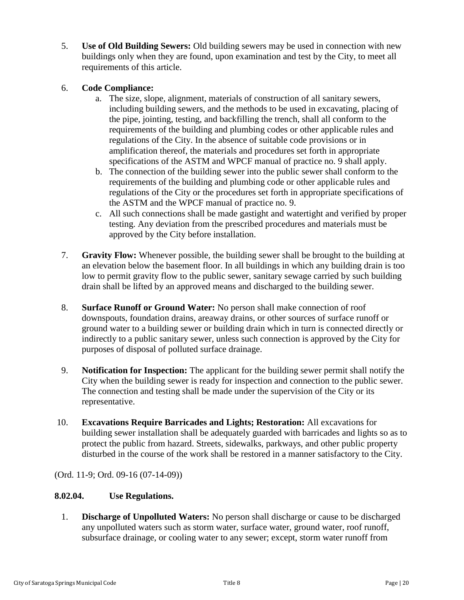5. **Use of Old Building Sewers:** Old building sewers may be used in connection with new buildings only when they are found, upon examination and test by the City, to meet all requirements of this article.

## 6. **Code Compliance:**

- a. The size, slope, alignment, materials of construction of all sanitary sewers, including building sewers, and the methods to be used in excavating, placing of the pipe, jointing, testing, and backfilling the trench, shall all conform to the requirements of the building and plumbing codes or other applicable rules and regulations of the City. In the absence of suitable code provisions or in amplification thereof, the materials and procedures set forth in appropriate specifications of the ASTM and WPCF manual of practice no. 9 shall apply.
- b. The connection of the building sewer into the public sewer shall conform to the requirements of the building and plumbing code or other applicable rules and regulations of the City or the procedures set forth in appropriate specifications of the ASTM and the WPCF manual of practice no. 9.
- c. All such connections shall be made gastight and watertight and verified by proper testing. Any deviation from the prescribed procedures and materials must be approved by the City before installation.
- 7. **Gravity Flow:** Whenever possible, the building sewer shall be brought to the building at an elevation below the basement floor. In all buildings in which any building drain is too low to permit gravity flow to the public sewer, sanitary sewage carried by such building drain shall be lifted by an approved means and discharged to the building sewer.
- 8. **Surface Runoff or Ground Water:** No person shall make connection of roof downspouts, foundation drains, areaway drains, or other sources of surface runoff or ground water to a building sewer or building drain which in turn is connected directly or indirectly to a public sanitary sewer, unless such connection is approved by the City for purposes of disposal of polluted surface drainage.
- 9. **Notification for Inspection:** The applicant for the building sewer permit shall notify the City when the building sewer is ready for inspection and connection to the public sewer. The connection and testing shall be made under the supervision of the City or its representative.
- 10. **Excavations Require Barricades and Lights; Restoration:** All excavations for building sewer installation shall be adequately guarded with barricades and lights so as to protect the public from hazard. Streets, sidewalks, parkways, and other public property disturbed in the course of the work shall be restored in a manner satisfactory to the City.

(Ord. 11-9; Ord. 09-16 (07-14-09))

# <span id="page-19-0"></span>**8.02.04. Use Regulations.**

1. **Discharge of Unpolluted Waters:** No person shall discharge or cause to be discharged any unpolluted waters such as storm water, surface water, ground water, roof runoff, subsurface drainage, or cooling water to any sewer; except, storm water runoff from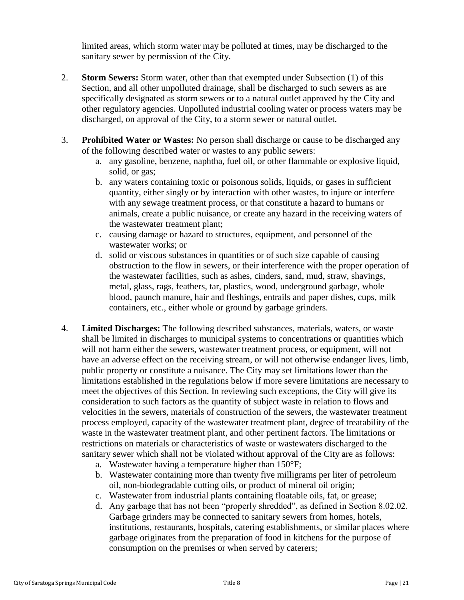limited areas, which storm water may be polluted at times, may be discharged to the sanitary sewer by permission of the City.

- 2. **Storm Sewers:** Storm water, other than that exempted under Subsection (1) of this Section, and all other unpolluted drainage, shall be discharged to such sewers as are specifically designated as storm sewers or to a natural outlet approved by the City and other regulatory agencies. Unpolluted industrial cooling water or process waters may be discharged, on approval of the City, to a storm sewer or natural outlet.
- 3. **Prohibited Water or Wastes:** No person shall discharge or cause to be discharged any of the following described water or wastes to any public sewers:
	- a. any gasoline, benzene, naphtha, fuel oil, or other flammable or explosive liquid, solid, or gas;
	- b. any waters containing toxic or poisonous solids, liquids, or gases in sufficient quantity, either singly or by interaction with other wastes, to injure or interfere with any sewage treatment process, or that constitute a hazard to humans or animals, create a public nuisance, or create any hazard in the receiving waters of the wastewater treatment plant;
	- c. causing damage or hazard to structures, equipment, and personnel of the wastewater works; or
	- d. solid or viscous substances in quantities or of such size capable of causing obstruction to the flow in sewers, or their interference with the proper operation of the wastewater facilities, such as ashes, cinders, sand, mud, straw, shavings, metal, glass, rags, feathers, tar, plastics, wood, underground garbage, whole blood, paunch manure, hair and fleshings, entrails and paper dishes, cups, milk containers, etc., either whole or ground by garbage grinders.
- 4. **Limited Discharges:** The following described substances, materials, waters, or waste shall be limited in discharges to municipal systems to concentrations or quantities which will not harm either the sewers, wastewater treatment process, or equipment, will not have an adverse effect on the receiving stream, or will not otherwise endanger lives, limb, public property or constitute a nuisance. The City may set limitations lower than the limitations established in the regulations below if more severe limitations are necessary to meet the objectives of this Section. In reviewing such exceptions, the City will give its consideration to such factors as the quantity of subject waste in relation to flows and velocities in the sewers, materials of construction of the sewers, the wastewater treatment process employed, capacity of the wastewater treatment plant, degree of treatability of the waste in the wastewater treatment plant, and other pertinent factors. The limitations or restrictions on materials or characteristics of waste or wastewaters discharged to the sanitary sewer which shall not be violated without approval of the City are as follows:
	- a. Wastewater having a temperature higher than 150°F;
	- b. Wastewater containing more than twenty five milligrams per liter of petroleum oil, non-biodegradable cutting oils, or product of mineral oil origin;
	- c. Wastewater from industrial plants containing floatable oils, fat, or grease;
	- d. Any garbage that has not been "properly shredded", as defined in Section 8.02.02. Garbage grinders may be connected to sanitary sewers from homes, hotels, institutions, restaurants, hospitals, catering establishments, or similar places where garbage originates from the preparation of food in kitchens for the purpose of consumption on the premises or when served by caterers;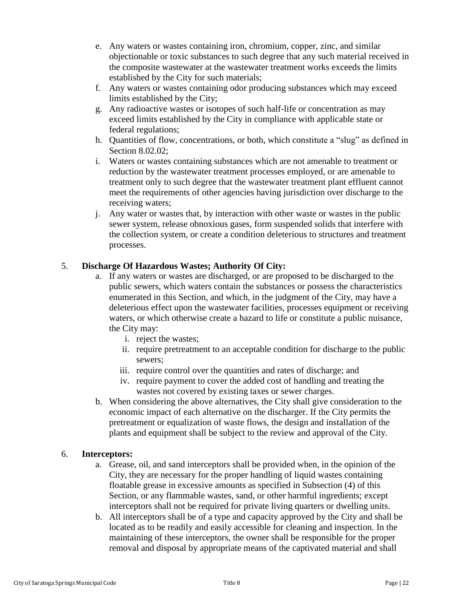- e. Any waters or wastes containing iron, chromium, copper, zinc, and similar objectionable or toxic substances to such degree that any such material received in the composite wastewater at the wastewater treatment works exceeds the limits established by the City for such materials;
- f. Any waters or wastes containing odor producing substances which may exceed limits established by the City;
- g. Any radioactive wastes or isotopes of such half-life or concentration as may exceed limits established by the City in compliance with applicable state or federal regulations;
- h. Quantities of flow, concentrations, or both, which constitute a "slug" as defined in Section 8.02.02;
- i. Waters or wastes containing substances which are not amenable to treatment or reduction by the wastewater treatment processes employed, or are amenable to treatment only to such degree that the wastewater treatment plant effluent cannot meet the requirements of other agencies having jurisdiction over discharge to the receiving waters;
- j. Any water or wastes that, by interaction with other waste or wastes in the public sewer system, release obnoxious gases, form suspended solids that interfere with the collection system, or create a condition deleterious to structures and treatment processes.

# 5. **Discharge Of Hazardous Wastes; Authority Of City:**

- a. If any waters or wastes are discharged, or are proposed to be discharged to the public sewers, which waters contain the substances or possess the characteristics enumerated in this Section, and which, in the judgment of the City, may have a deleterious effect upon the wastewater facilities, processes equipment or receiving waters, or which otherwise create a hazard to life or constitute a public nuisance, the City may:
	- i. reject the wastes;
	- ii. require pretreatment to an acceptable condition for discharge to the public sewers;
	- iii. require control over the quantities and rates of discharge; and
	- iv. require payment to cover the added cost of handling and treating the wastes not covered by existing taxes or sewer charges.
- b. When considering the above alternatives, the City shall give consideration to the economic impact of each alternative on the discharger. If the City permits the pretreatment or equalization of waste flows, the design and installation of the plants and equipment shall be subject to the review and approval of the City.

### 6. **Interceptors:**

- a. Grease, oil, and sand interceptors shall be provided when, in the opinion of the City, they are necessary for the proper handling of liquid wastes containing floatable grease in excessive amounts as specified in Subsection (4) of this Section, or any flammable wastes, sand, or other harmful ingredients; except interceptors shall not be required for private living quarters or dwelling units.
- b. All interceptors shall be of a type and capacity approved by the City and shall be located as to be readily and easily accessible for cleaning and inspection. In the maintaining of these interceptors, the owner shall be responsible for the proper removal and disposal by appropriate means of the captivated material and shall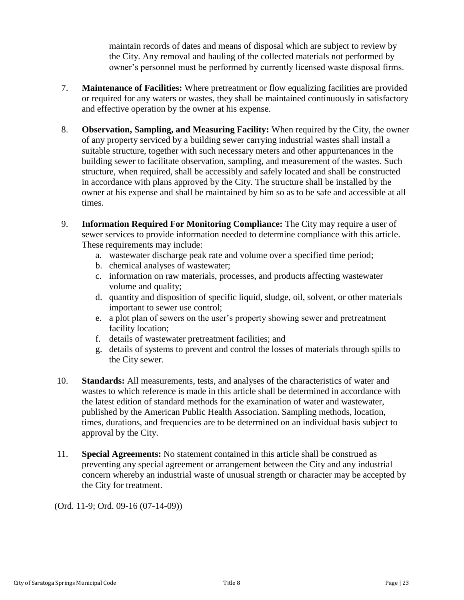maintain records of dates and means of disposal which are subject to review by the City. Any removal and hauling of the collected materials not performed by owner's personnel must be performed by currently licensed waste disposal firms.

- 7. **Maintenance of Facilities:** Where pretreatment or flow equalizing facilities are provided or required for any waters or wastes, they shall be maintained continuously in satisfactory and effective operation by the owner at his expense.
- 8. **Observation, Sampling, and Measuring Facility:** When required by the City, the owner of any property serviced by a building sewer carrying industrial wastes shall install a suitable structure, together with such necessary meters and other appurtenances in the building sewer to facilitate observation, sampling, and measurement of the wastes. Such structure, when required, shall be accessibly and safely located and shall be constructed in accordance with plans approved by the City. The structure shall be installed by the owner at his expense and shall be maintained by him so as to be safe and accessible at all times.
- 9. **Information Required For Monitoring Compliance:** The City may require a user of sewer services to provide information needed to determine compliance with this article. These requirements may include:
	- a. wastewater discharge peak rate and volume over a specified time period;
	- b. chemical analyses of wastewater;
	- c. information on raw materials, processes, and products affecting wastewater volume and quality;
	- d. quantity and disposition of specific liquid, sludge, oil, solvent, or other materials important to sewer use control;
	- e. a plot plan of sewers on the user's property showing sewer and pretreatment facility location;
	- f. details of wastewater pretreatment facilities; and
	- g. details of systems to prevent and control the losses of materials through spills to the City sewer.
- 10. **Standards:** All measurements, tests, and analyses of the characteristics of water and wastes to which reference is made in this article shall be determined in accordance with the latest edition of standard methods for the examination of water and wastewater, published by the American Public Health Association. Sampling methods, location, times, durations, and frequencies are to be determined on an individual basis subject to approval by the City.
- 11. **Special Agreements:** No statement contained in this article shall be construed as preventing any special agreement or arrangement between the City and any industrial concern whereby an industrial waste of unusual strength or character may be accepted by the City for treatment.

<span id="page-22-0"></span>(Ord. 11-9; Ord. 09-16 (07-14-09))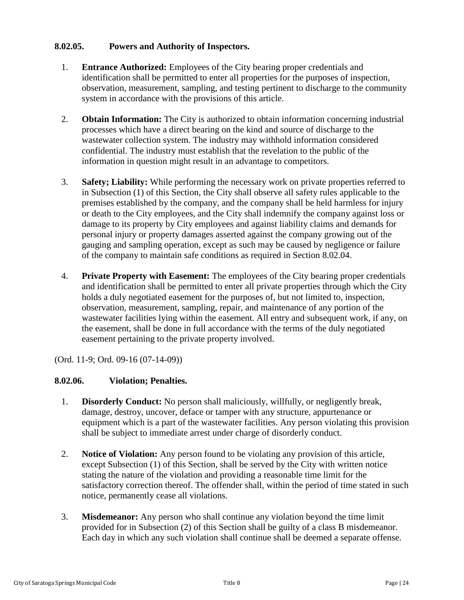## **8.02.05. Powers and Authority of Inspectors.**

- 1. **Entrance Authorized:** Employees of the City bearing proper credentials and identification shall be permitted to enter all properties for the purposes of inspection, observation, measurement, sampling, and testing pertinent to discharge to the community system in accordance with the provisions of this article.
- 2. **Obtain Information:** The City is authorized to obtain information concerning industrial processes which have a direct bearing on the kind and source of discharge to the wastewater collection system. The industry may withhold information considered confidential. The industry must establish that the revelation to the public of the information in question might result in an advantage to competitors.
- 3. **Safety; Liability:** While performing the necessary work on private properties referred to in Subsection (1) of this Section, the City shall observe all safety rules applicable to the premises established by the company, and the company shall be held harmless for injury or death to the City employees, and the City shall indemnify the company against loss or damage to its property by City employees and against liability claims and demands for personal injury or property damages asserted against the company growing out of the gauging and sampling operation, except as such may be caused by negligence or failure of the company to maintain safe conditions as required in Section 8.02.04.
- 4. **Private Property with Easement:** The employees of the City bearing proper credentials and identification shall be permitted to enter all private properties through which the City holds a duly negotiated easement for the purposes of, but not limited to, inspection, observation, measurement, sampling, repair, and maintenance of any portion of the wastewater facilities lying within the easement. All entry and subsequent work, if any, on the easement, shall be done in full accordance with the terms of the duly negotiated easement pertaining to the private property involved.

(Ord. 11-9; Ord. 09-16 (07-14-09))

# <span id="page-23-0"></span>**8.02.06. Violation; Penalties.**

- 1. **Disorderly Conduct:** No person shall maliciously, willfully, or negligently break, damage, destroy, uncover, deface or tamper with any structure, appurtenance or equipment which is a part of the wastewater facilities. Any person violating this provision shall be subject to immediate arrest under charge of disorderly conduct.
- 2. **Notice of Violation:** Any person found to be violating any provision of this article, except Subsection (1) of this Section, shall be served by the City with written notice stating the nature of the violation and providing a reasonable time limit for the satisfactory correction thereof. The offender shall, within the period of time stated in such notice, permanently cease all violations.
- 3. **Misdemeanor:** Any person who shall continue any violation beyond the time limit provided for in Subsection (2) of this Section shall be guilty of a class B misdemeanor. Each day in which any such violation shall continue shall be deemed a separate offense.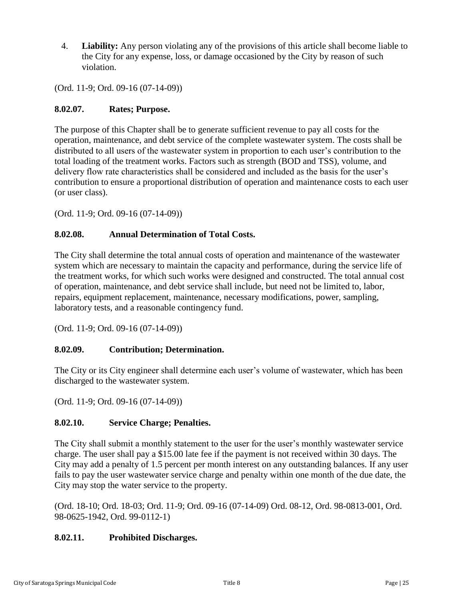4. **Liability:** Any person violating any of the provisions of this article shall become liable to the City for any expense, loss, or damage occasioned by the City by reason of such violation.

(Ord. 11-9; Ord. 09-16 (07-14-09))

### <span id="page-24-0"></span>**8.02.07. Rates; Purpose.**

The purpose of this Chapter shall be to generate sufficient revenue to pay all costs for the operation, maintenance, and debt service of the complete wastewater system. The costs shall be distributed to all users of the wastewater system in proportion to each user's contribution to the total loading of the treatment works. Factors such as strength (BOD and TSS), volume, and delivery flow rate characteristics shall be considered and included as the basis for the user's contribution to ensure a proportional distribution of operation and maintenance costs to each user (or user class).

(Ord. 11-9; Ord. 09-16 (07-14-09))

### <span id="page-24-1"></span>**8.02.08. Annual Determination of Total Costs.**

The City shall determine the total annual costs of operation and maintenance of the wastewater system which are necessary to maintain the capacity and performance, during the service life of the treatment works, for which such works were designed and constructed. The total annual cost of operation, maintenance, and debt service shall include, but need not be limited to, labor, repairs, equipment replacement, maintenance, necessary modifications, power, sampling, laboratory tests, and a reasonable contingency fund.

(Ord. 11-9; Ord. 09-16 (07-14-09))

### <span id="page-24-2"></span>**8.02.09. Contribution; Determination.**

The City or its City engineer shall determine each user's volume of wastewater, which has been discharged to the wastewater system.

(Ord. 11-9; Ord. 09-16 (07-14-09))

### <span id="page-24-3"></span>**8.02.10. Service Charge; Penalties.**

The City shall submit a monthly statement to the user for the user's monthly wastewater service charge. The user shall pay a \$15.00 late fee if the payment is not received within 30 days. The City may add a penalty of 1.5 percent per month interest on any outstanding balances. If any user fails to pay the user wastewater service charge and penalty within one month of the due date, the City may stop the water service to the property.

(Ord. 18-10; Ord. 18-03; Ord. 11-9; Ord. 09-16 (07-14-09) Ord. 08-12, Ord. 98-0813-001, Ord. 98-0625-1942, Ord. 99-0112-1)

### <span id="page-24-4"></span>**8.02.11. Prohibited Discharges.**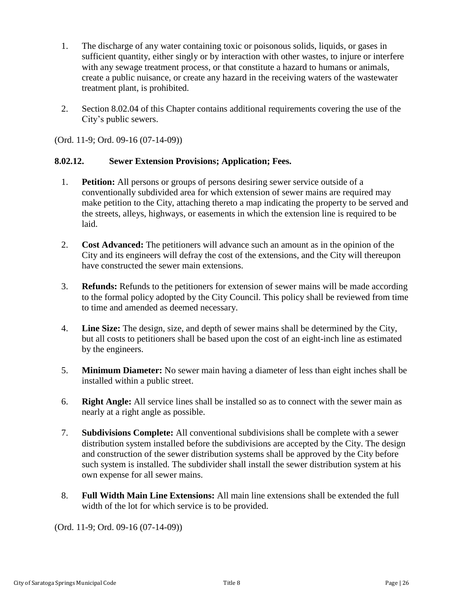- 1. The discharge of any water containing toxic or poisonous solids, liquids, or gases in sufficient quantity, either singly or by interaction with other wastes, to injure or interfere with any sewage treatment process, or that constitute a hazard to humans or animals, create a public nuisance, or create any hazard in the receiving waters of the wastewater treatment plant, is prohibited.
- 2. Section 8.02.04 of this Chapter contains additional requirements covering the use of the City's public sewers.

(Ord. 11-9; Ord. 09-16 (07-14-09))

### <span id="page-25-0"></span>**8.02.12. Sewer Extension Provisions; Application; Fees.**

- 1. **Petition:** All persons or groups of persons desiring sewer service outside of a conventionally subdivided area for which extension of sewer mains are required may make petition to the City, attaching thereto a map indicating the property to be served and the streets, alleys, highways, or easements in which the extension line is required to be laid.
- 2. **Cost Advanced:** The petitioners will advance such an amount as in the opinion of the City and its engineers will defray the cost of the extensions, and the City will thereupon have constructed the sewer main extensions.
- 3. **Refunds:** Refunds to the petitioners for extension of sewer mains will be made according to the formal policy adopted by the City Council. This policy shall be reviewed from time to time and amended as deemed necessary.
- 4. **Line Size:** The design, size, and depth of sewer mains shall be determined by the City, but all costs to petitioners shall be based upon the cost of an eight-inch line as estimated by the engineers.
- 5. **Minimum Diameter:** No sewer main having a diameter of less than eight inches shall be installed within a public street.
- 6. **Right Angle:** All service lines shall be installed so as to connect with the sewer main as nearly at a right angle as possible.
- 7. **Subdivisions Complete:** All conventional subdivisions shall be complete with a sewer distribution system installed before the subdivisions are accepted by the City. The design and construction of the sewer distribution systems shall be approved by the City before such system is installed. The subdivider shall install the sewer distribution system at his own expense for all sewer mains.
- 8. **Full Width Main Line Extensions:** All main line extensions shall be extended the full width of the lot for which service is to be provided.

<span id="page-25-1"></span>(Ord. 11-9; Ord. 09-16 (07-14-09))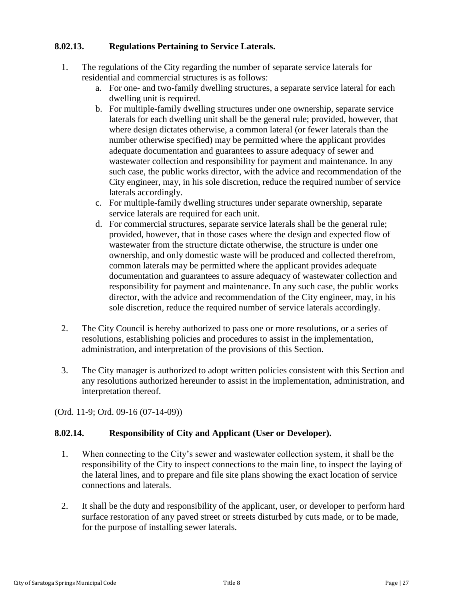# **8.02.13. Regulations Pertaining to Service Laterals.**

- 1. The regulations of the City regarding the number of separate service laterals for residential and commercial structures is as follows:
	- a. For one- and two-family dwelling structures, a separate service lateral for each dwelling unit is required.
	- b. For multiple-family dwelling structures under one ownership, separate service laterals for each dwelling unit shall be the general rule; provided, however, that where design dictates otherwise, a common lateral (or fewer laterals than the number otherwise specified) may be permitted where the applicant provides adequate documentation and guarantees to assure adequacy of sewer and wastewater collection and responsibility for payment and maintenance. In any such case, the public works director, with the advice and recommendation of the City engineer, may, in his sole discretion, reduce the required number of service laterals accordingly.
	- c. For multiple-family dwelling structures under separate ownership, separate service laterals are required for each unit.
	- d. For commercial structures, separate service laterals shall be the general rule; provided, however, that in those cases where the design and expected flow of wastewater from the structure dictate otherwise, the structure is under one ownership, and only domestic waste will be produced and collected therefrom, common laterals may be permitted where the applicant provides adequate documentation and guarantees to assure adequacy of wastewater collection and responsibility for payment and maintenance. In any such case, the public works director, with the advice and recommendation of the City engineer, may, in his sole discretion, reduce the required number of service laterals accordingly.
- 2. The City Council is hereby authorized to pass one or more resolutions, or a series of resolutions, establishing policies and procedures to assist in the implementation, administration, and interpretation of the provisions of this Section.
- 3. The City manager is authorized to adopt written policies consistent with this Section and any resolutions authorized hereunder to assist in the implementation, administration, and interpretation thereof.

(Ord. 11-9; Ord. 09-16 (07-14-09))

# <span id="page-26-0"></span>**8.02.14. Responsibility of City and Applicant (User or Developer).**

- 1. When connecting to the City's sewer and wastewater collection system, it shall be the responsibility of the City to inspect connections to the main line, to inspect the laying of the lateral lines, and to prepare and file site plans showing the exact location of service connections and laterals.
- 2. It shall be the duty and responsibility of the applicant, user, or developer to perform hard surface restoration of any paved street or streets disturbed by cuts made, or to be made, for the purpose of installing sewer laterals.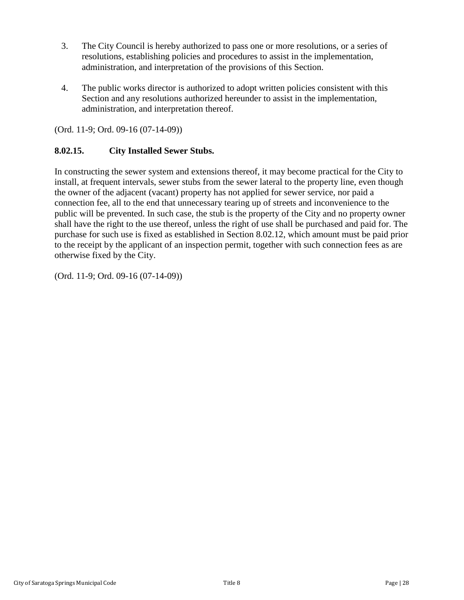- 3. The City Council is hereby authorized to pass one or more resolutions, or a series of resolutions, establishing policies and procedures to assist in the implementation, administration, and interpretation of the provisions of this Section.
- 4. The public works director is authorized to adopt written policies consistent with this Section and any resolutions authorized hereunder to assist in the implementation, administration, and interpretation thereof.

(Ord. 11-9; Ord. 09-16 (07-14-09))

# <span id="page-27-0"></span>**8.02.15. City Installed Sewer Stubs.**

In constructing the sewer system and extensions thereof, it may become practical for the City to install, at frequent intervals, sewer stubs from the sewer lateral to the property line, even though the owner of the adjacent (vacant) property has not applied for sewer service, nor paid a connection fee, all to the end that unnecessary tearing up of streets and inconvenience to the public will be prevented. In such case, the stub is the property of the City and no property owner shall have the right to the use thereof, unless the right of use shall be purchased and paid for. The purchase for such use is fixed as established in Section 8.02.12, which amount must be paid prior to the receipt by the applicant of an inspection permit, together with such connection fees as are otherwise fixed by the City.

(Ord. 11-9; Ord. 09-16 (07-14-09))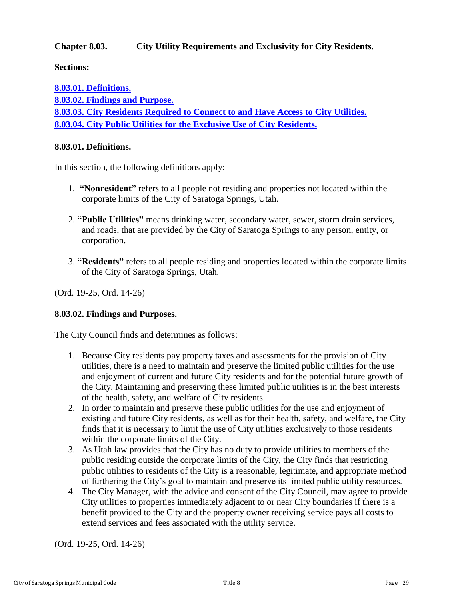## <span id="page-28-0"></span>**Chapter 8.03. City Utility Requirements and Exclusivity for City Residents.**

**Sections:**

**[8.03.01. Definitions.](#page-28-1) [8.03.02. Findings and Purpose.](#page-28-2) [8.03.03. City Residents Required to Connect to and Have Access to City Utilities.](#page-29-0) [8.03.04. City Public Utilities for the Exclusive Use of City Residents.](#page-29-1)**

#### <span id="page-28-1"></span>**8.03.01. Definitions.**

In this section, the following definitions apply:

- 1. **"Nonresident"** refers to all people not residing and properties not located within the corporate limits of the City of Saratoga Springs, Utah.
- 2. **"Public Utilities"** means drinking water, secondary water, sewer, storm drain services, and roads, that are provided by the City of Saratoga Springs to any person, entity, or corporation.
- 3. **"Residents"** refers to all people residing and properties located within the corporate limits of the City of Saratoga Springs, Utah.

(Ord. 19-25, Ord. 14-26)

### <span id="page-28-2"></span>**8.03.02. Findings and Purposes.**

The City Council finds and determines as follows:

- 1. Because City residents pay property taxes and assessments for the provision of City utilities, there is a need to maintain and preserve the limited public utilities for the use and enjoyment of current and future City residents and for the potential future growth of the City. Maintaining and preserving these limited public utilities is in the best interests of the health, safety, and welfare of City residents.
- 2. In order to maintain and preserve these public utilities for the use and enjoyment of existing and future City residents, as well as for their health, safety, and welfare, the City finds that it is necessary to limit the use of City utilities exclusively to those residents within the corporate limits of the City.
- 3. As Utah law provides that the City has no duty to provide utilities to members of the public residing outside the corporate limits of the City, the City finds that restricting public utilities to residents of the City is a reasonable, legitimate, and appropriate method of furthering the City's goal to maintain and preserve its limited public utility resources.
- 4. The City Manager, with the advice and consent of the City Council, may agree to provide City utilities to properties immediately adjacent to or near City boundaries if there is a benefit provided to the City and the property owner receiving service pays all costs to extend services and fees associated with the utility service.

(Ord. 19-25, Ord. 14-26)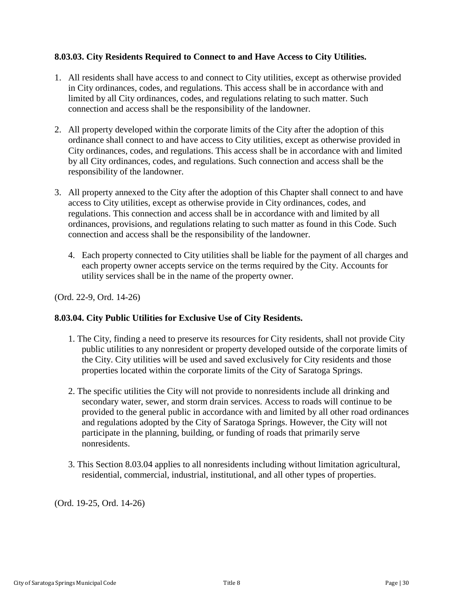## <span id="page-29-0"></span>**8.03.03. City Residents Required to Connect to and Have Access to City Utilities.**

- 1. All residents shall have access to and connect to City utilities, except as otherwise provided in City ordinances, codes, and regulations. This access shall be in accordance with and limited by all City ordinances, codes, and regulations relating to such matter. Such connection and access shall be the responsibility of the landowner.
- 2. All property developed within the corporate limits of the City after the adoption of this ordinance shall connect to and have access to City utilities, except as otherwise provided in City ordinances, codes, and regulations. This access shall be in accordance with and limited by all City ordinances, codes, and regulations. Such connection and access shall be the responsibility of the landowner.
- 3. All property annexed to the City after the adoption of this Chapter shall connect to and have access to City utilities, except as otherwise provide in City ordinances, codes, and regulations. This connection and access shall be in accordance with and limited by all ordinances, provisions, and regulations relating to such matter as found in this Code. Such connection and access shall be the responsibility of the landowner.
	- 4. Each property connected to City utilities shall be liable for the payment of all charges and each property owner accepts service on the terms required by the City. Accounts for utility services shall be in the name of the property owner.

(Ord. 22-9, Ord. 14-26)

# <span id="page-29-1"></span>**8.03.04. City Public Utilities for Exclusive Use of City Residents.**

- 1. The City, finding a need to preserve its resources for City residents, shall not provide City public utilities to any nonresident or property developed outside of the corporate limits of the City. City utilities will be used and saved exclusively for City residents and those properties located within the corporate limits of the City of Saratoga Springs.
- 2. The specific utilities the City will not provide to nonresidents include all drinking and secondary water, sewer, and storm drain services. Access to roads will continue to be provided to the general public in accordance with and limited by all other road ordinances and regulations adopted by the City of Saratoga Springs. However, the City will not participate in the planning, building, or funding of roads that primarily serve nonresidents.
- 3. This Section 8.03.04 applies to all nonresidents including without limitation agricultural, residential, commercial, industrial, institutional, and all other types of properties.

(Ord. 19-25, Ord. 14-26)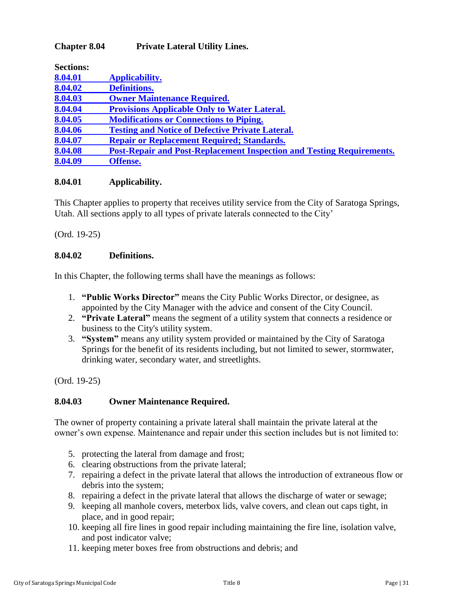# <span id="page-30-0"></span>**Chapter 8.04 Private Lateral Utility Lines.**

| <b>Sections:</b> |                                                                              |
|------------------|------------------------------------------------------------------------------|
| 8.04.01          | Applicability.                                                               |
| 8.04.02          | <b>Definitions.</b>                                                          |
| 8.04.03          | <b>Owner Maintenance Required.</b>                                           |
| 8.04.04          | <b>Provisions Applicable Only to Water Lateral.</b>                          |
| 8.04.05          | <b>Modifications or Connections to Piping.</b>                               |
| 8.04.06          | <b>Testing and Notice of Defective Private Lateral.</b>                      |
| 8.04.07          | <b>Repair or Replacement Required; Standards.</b>                            |
| 8.04.08          | <b>Post-Repair and Post-Replacement Inspection and Testing Requirements.</b> |
| 8.04.09          | <b>Offense.</b>                                                              |

### <span id="page-30-1"></span>**8.04.01 Applicability.**

This Chapter applies to property that receives utility service from the City of Saratoga Springs, Utah. All sections apply to all types of private laterals connected to the City'

(Ord. 19-25)

## <span id="page-30-2"></span>**8.04.02 Definitions.**

In this Chapter, the following terms shall have the meanings as follows:

- 1. **"Public Works Director"** means the City Public Works Director, or designee, as appointed by the City Manager with the advice and consent of the City Council.
- 2. **"Private Lateral"** means the segment of a utility system that connects a residence or business to the City's utility system.
- 3. **"System"** means any utility system provided or maintained by the City of Saratoga Springs for the benefit of its residents including, but not limited to sewer, stormwater, drinking water, secondary water, and streetlights.

(Ord. 19-25)

### <span id="page-30-3"></span>**8.04.03 Owner Maintenance Required.**

The owner of property containing a private lateral shall maintain the private lateral at the owner's own expense. Maintenance and repair under this section includes but is not limited to:

- 5. protecting the lateral from damage and frost;
- 6. clearing obstructions from the private lateral;
- 7. repairing a defect in the private lateral that allows the introduction of extraneous flow or debris into the system;
- 8. repairing a defect in the private lateral that allows the discharge of water or sewage;
- 9. keeping all manhole covers, meterbox lids, valve covers, and clean out caps tight, in place, and in good repair;
- 10. keeping all fire lines in good repair including maintaining the fire line, isolation valve, and post indicator valve;
- 11. keeping meter boxes free from obstructions and debris; and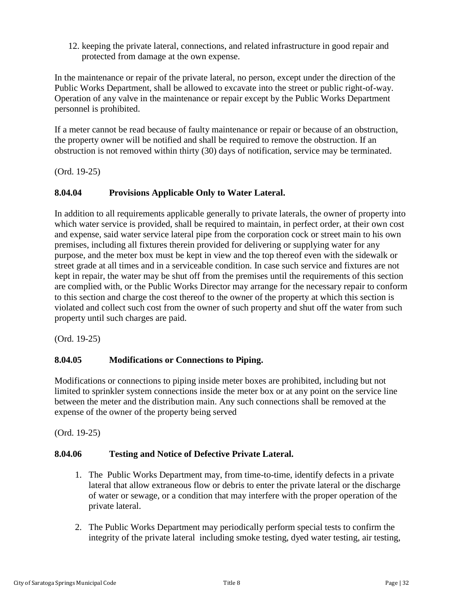12. keeping the private lateral, connections, and related infrastructure in good repair and protected from damage at the own expense.

In the maintenance or repair of the private lateral, no person, except under the direction of the Public Works Department, shall be allowed to excavate into the street or public right-of-way. Operation of any valve in the maintenance or repair except by the Public Works Department personnel is prohibited.

If a meter cannot be read because of faulty maintenance or repair or because of an obstruction, the property owner will be notified and shall be required to remove the obstruction. If an obstruction is not removed within thirty (30) days of notification, service may be terminated.

(Ord. 19-25)

# <span id="page-31-0"></span>**8.04.04 Provisions Applicable Only to Water Lateral.**

In addition to all requirements applicable generally to private laterals, the owner of property into which water service is provided, shall be required to maintain, in perfect order, at their own cost and expense, said water service lateral pipe from the corporation cock or street main to his own premises, including all fixtures therein provided for delivering or supplying water for any purpose, and the meter box must be kept in view and the top thereof even with the sidewalk or street grade at all times and in a serviceable condition. In case such service and fixtures are not kept in repair, the water may be shut off from the premises until the requirements of this section are complied with, or the Public Works Director may arrange for the necessary repair to conform to this section and charge the cost thereof to the owner of the property at which this section is violated and collect such cost from the owner of such property and shut off the water from such property until such charges are paid.

(Ord. 19-25)

# <span id="page-31-1"></span>**8.04.05 Modifications or Connections to Piping.**

Modifications or connections to piping inside meter boxes are prohibited, including but not limited to sprinkler system connections inside the meter box or at any point on the service line between the meter and the distribution main. Any such connections shall be removed at the expense of the owner of the property being served

(Ord. 19-25)

# <span id="page-31-2"></span>**8.04.06 Testing and Notice of Defective Private Lateral.**

- 1. The Public Works Department may, from time-to-time, identify defects in a private lateral that allow extraneous flow or debris to enter the private lateral or the discharge of water or sewage, or a condition that may interfere with the proper operation of the private lateral.
- 2. The Public Works Department may periodically perform special tests to confirm the integrity of the private lateral including smoke testing, dyed water testing, air testing,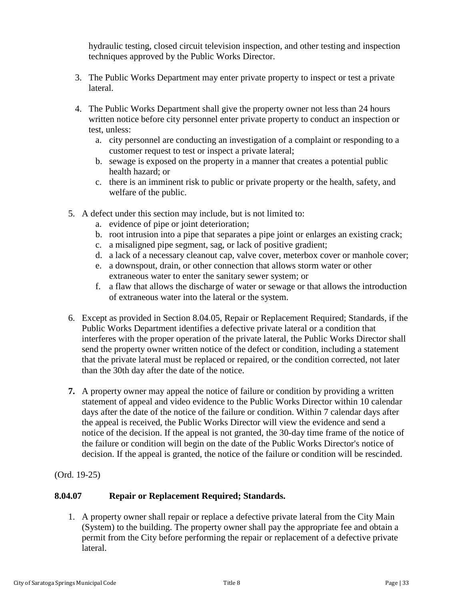hydraulic testing, closed circuit television inspection, and other testing and inspection techniques approved by the Public Works Director.

- 3. The Public Works Department may enter private property to inspect or test a private lateral.
- 4. The Public Works Department shall give the property owner not less than 24 hours written notice before city personnel enter private property to conduct an inspection or test, unless:
	- a. city personnel are conducting an investigation of a complaint or responding to a customer request to test or inspect a private lateral;
	- b. sewage is exposed on the property in a manner that creates a potential public health hazard; or
	- c. there is an imminent risk to public or private property or the health, safety, and welfare of the public.
- 5. A defect under this section may include, but is not limited to:
	- a. evidence of pipe or joint deterioration;
	- b. root intrusion into a pipe that separates a pipe joint or enlarges an existing crack;
	- c. a misaligned pipe segment, sag, or lack of positive gradient;
	- d. a lack of a necessary cleanout cap, valve cover, meterbox cover or manhole cover;
	- e. a downspout, drain, or other connection that allows storm water or other extraneous water to enter the sanitary sewer system; or
	- f. a flaw that allows the discharge of water or sewage or that allows the introduction of extraneous water into the lateral or the system.
- 6. Except as provided in Section 8.04.05, Repair or Replacement Required; Standards, if the Public Works Department identifies a defective private lateral or a condition that interferes with the proper operation of the private lateral, the Public Works Director shall send the property owner written notice of the defect or condition, including a statement that the private lateral must be replaced or repaired, or the condition corrected, not later than the 30th day after the date of the notice.
- **7.** A property owner may appeal the notice of failure or condition by providing a written statement of appeal and video evidence to the Public Works Director within 10 calendar days after the date of the notice of the failure or condition. Within 7 calendar days after the appeal is received, the Public Works Director will view the evidence and send a notice of the decision. If the appeal is not granted, the 30-day time frame of the notice of the failure or condition will begin on the date of the Public Works Director's notice of decision. If the appeal is granted, the notice of the failure or condition will be rescinded.

(Ord. 19-25)

# <span id="page-32-0"></span>**8.04.07 Repair or Replacement Required; Standards.**

1. A property owner shall repair or replace a defective private lateral from the City Main (System) to the building. The property owner shall pay the appropriate fee and obtain a permit from the City before performing the repair or replacement of a defective private lateral.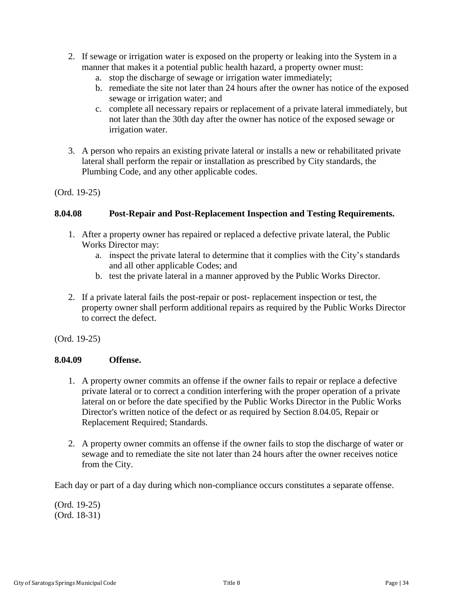- 2. If sewage or irrigation water is exposed on the property or leaking into the System in a manner that makes it a potential public health hazard, a property owner must:
	- a. stop the discharge of sewage or irrigation water immediately;
	- b. remediate the site not later than 24 hours after the owner has notice of the exposed sewage or irrigation water; and
	- c. complete all necessary repairs or replacement of a private lateral immediately, but not later than the 30th day after the owner has notice of the exposed sewage or irrigation water.
- 3. A person who repairs an existing private lateral or installs a new or rehabilitated private lateral shall perform the repair or installation as prescribed by City standards, the Plumbing Code, and any other applicable codes.

### (Ord. 19-25)

### <span id="page-33-0"></span>**8.04.08 Post-Repair and Post-Replacement Inspection and Testing Requirements.**

- 1. After a property owner has repaired or replaced a defective private lateral, the Public Works Director may:
	- a. inspect the private lateral to determine that it complies with the City's standards and all other applicable Codes; and
	- b. test the private lateral in a manner approved by the Public Works Director.
- 2. If a private lateral fails the post-repair or post- replacement inspection or test, the property owner shall perform additional repairs as required by the Public Works Director to correct the defect.

(Ord. 19-25)

### <span id="page-33-1"></span>**8.04.09 Offense.**

- 1. A property owner commits an offense if the owner fails to repair or replace a defective private lateral or to correct a condition interfering with the proper operation of a private lateral on or before the date specified by the Public Works Director in the Public Works Director's written notice of the defect or as required by Section 8.04.05, Repair or Replacement Required; Standards.
- 2. A property owner commits an offense if the owner fails to stop the discharge of water or sewage and to remediate the site not later than 24 hours after the owner receives notice from the City.

Each day or part of a day during which non-compliance occurs constitutes a separate offense.

(Ord. 19-25) (Ord. 18-31)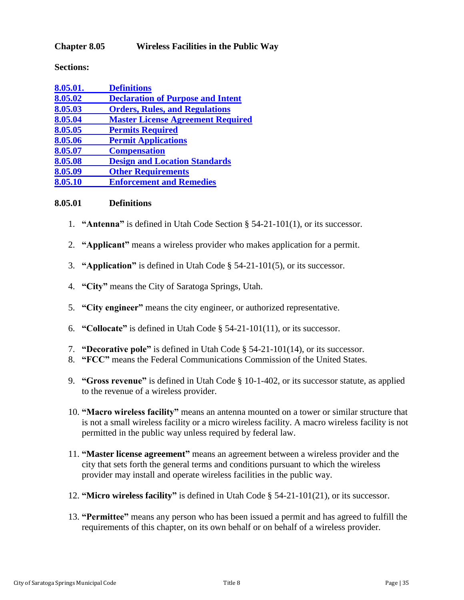## <span id="page-34-0"></span>**Chapter 8.05 Wireless Facilities in the Public Way**

**Sections:**

| 8.05.01. | <b>Definitions</b>                       |
|----------|------------------------------------------|
| 8.05.02  | <b>Declaration of Purpose and Intent</b> |
| 8.05.03  | <b>Orders, Rules, and Regulations</b>    |
| 8.05.04  | <b>Master License Agreement Required</b> |
| 8.05.05  | <b>Permits Required</b>                  |
| 8.05.06  | <b>Permit Applications</b>               |
| 8.05.07  | <b>Compensation</b>                      |
| 8.05.08  | <b>Design and Location Standards</b>     |
| 8.05.09  | <b>Other Requirements</b>                |
| 8.05.10  | <b>Enforcement and Remedies</b>          |

#### <span id="page-34-1"></span>**8.05.01 Definitions**

- 1. **"Antenna"** is defined in Utah Code Section § 54-21-101(1), or its successor.
- 2. **"Applicant"** means a wireless provider who makes application for a permit.
- 3. **"Application"** is defined in Utah Code § 54-21-101(5), or its successor.
- 4. **"City"** means the City of Saratoga Springs, Utah.
- 5. **"City engineer"** means the city engineer, or authorized representative.
- 6. **"Collocate"** is defined in Utah Code § 54-21-101(11), or its successor.
- 7. **"Decorative pole"** is defined in Utah Code § 54-21-101(14), or its successor.
- 8. **"FCC"** means the Federal Communications Commission of the United States.
- 9. **"Gross revenue"** is defined in Utah Code § 10-1-402, or its successor statute, as applied to the revenue of a wireless provider.
- 10. **"Macro wireless facility"** means an antenna mounted on a tower or similar structure that is not a small wireless facility or a micro wireless facility. A macro wireless facility is not permitted in the public way unless required by federal law.
- 11. **"Master license agreement"** means an agreement between a wireless provider and the city that sets forth the general terms and conditions pursuant to which the wireless provider may install and operate wireless facilities in the public way.
- 12. **"Micro wireless facility"** is defined in Utah Code § 54-21-101(21), or its successor.
- 13. **"Permittee"** means any person who has been issued a permit and has agreed to fulfill the requirements of this chapter, on its own behalf or on behalf of a wireless provider.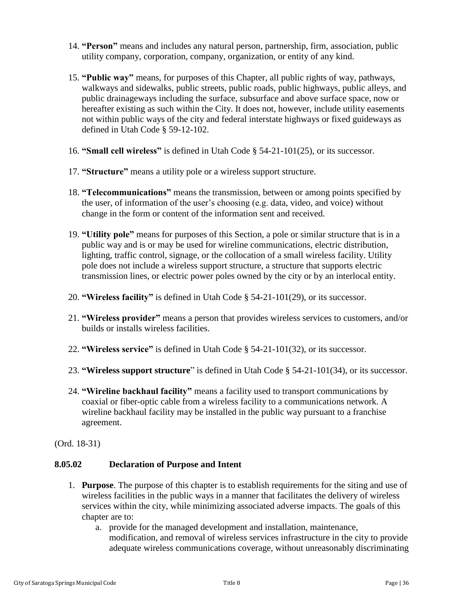- 14. **"Person"** means and includes any natural person, partnership, firm, association, public utility company, corporation, company, organization, or entity of any kind.
- 15. **"Public way"** means, for purposes of this Chapter, all public rights of way, pathways, walkways and sidewalks, public streets, public roads, public highways, public alleys, and public drainageways including the surface, subsurface and above surface space, now or hereafter existing as such within the City. It does not, however, include utility easements not within public ways of the city and federal interstate highways or fixed guideways as defined in Utah Code § 59-12-102.
- 16. **"Small cell wireless"** is defined in Utah Code § 54-21-101(25), or its successor.
- 17. **"Structure"** means a utility pole or a wireless support structure.
- 18. **"Telecommunications"** means the transmission, between or among points specified by the user, of information of the user's choosing (e.g. data, video, and voice) without change in the form or content of the information sent and received.
- 19. **"Utility pole"** means for purposes of this Section, a pole or similar structure that is in a public way and is or may be used for wireline communications, electric distribution, lighting, traffic control, signage, or the collocation of a small wireless facility. Utility pole does not include a wireless support structure, a structure that supports electric transmission lines, or electric power poles owned by the city or by an interlocal entity.
- 20. **"Wireless facility"** is defined in Utah Code § 54-21-101(29), or its successor.
- 21. **"Wireless provider"** means a person that provides wireless services to customers, and/or builds or installs wireless facilities.
- 22. **"Wireless service"** is defined in Utah Code § 54-21-101(32), or its successor.
- 23. **"Wireless support structure**" is defined in Utah Code § 54-21-101(34), or its successor.
- 24. **"Wireline backhaul facility"** means a facility used to transport communications by coaxial or fiber-optic cable from a wireless facility to a communications network. A wireline backhaul facility may be installed in the public way pursuant to a franchise agreement.

(Ord. 18-31)

# <span id="page-35-0"></span>**8.05.02 Declaration of Purpose and Intent**

- 1. **Purpose**. The purpose of this chapter is to establish requirements for the siting and use of wireless facilities in the public ways in a manner that facilitates the delivery of wireless services within the city, while minimizing associated adverse impacts. The goals of this chapter are to:
	- a. provide for the managed development and installation, maintenance, modification, and removal of wireless services infrastructure in the city to provide adequate wireless communications coverage, without unreasonably discriminating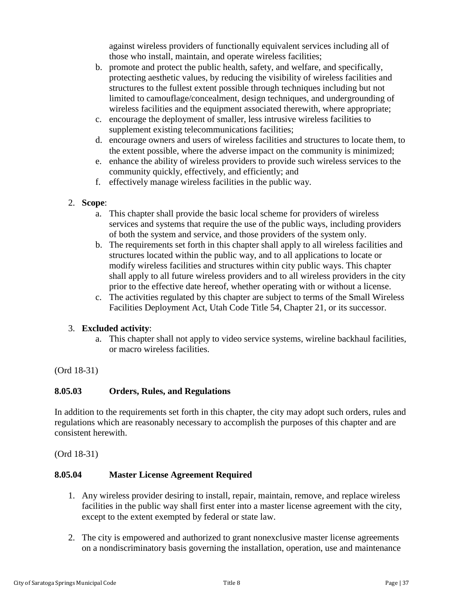against wireless providers of functionally equivalent services including all of those who install, maintain, and operate wireless facilities;

- b. promote and protect the public health, safety, and welfare, and specifically, protecting aesthetic values, by reducing the visibility of wireless facilities and structures to the fullest extent possible through techniques including but not limited to camouflage/concealment, design techniques, and undergrounding of wireless facilities and the equipment associated therewith, where appropriate;
- c. encourage the deployment of smaller, less intrusive wireless facilities to supplement existing telecommunications facilities;
- d. encourage owners and users of wireless facilities and structures to locate them, to the extent possible, where the adverse impact on the community is minimized;
- e. enhance the ability of wireless providers to provide such wireless services to the community quickly, effectively, and efficiently; and
- f. effectively manage wireless facilities in the public way.
- 2. **Scope**:
	- a. This chapter shall provide the basic local scheme for providers of wireless services and systems that require the use of the public ways, including providers of both the system and service, and those providers of the system only.
	- b. The requirements set forth in this chapter shall apply to all wireless facilities and structures located within the public way, and to all applications to locate or modify wireless facilities and structures within city public ways. This chapter shall apply to all future wireless providers and to all wireless providers in the city prior to the effective date hereof, whether operating with or without a license.
	- c. The activities regulated by this chapter are subject to terms of the Small Wireless Facilities Deployment Act, Utah Code Title 54, Chapter 21, or its successor.

# 3. **Excluded activity**:

a. This chapter shall not apply to video service systems, wireline backhaul facilities, or macro wireless facilities.

# (Ord 18-31)

# <span id="page-36-0"></span>**8.05.03 Orders, Rules, and Regulations**

In addition to the requirements set forth in this chapter, the city may adopt such orders, rules and regulations which are reasonably necessary to accomplish the purposes of this chapter and are consistent herewith.

(Ord 18-31)

# <span id="page-36-1"></span>**8.05.04 Master License Agreement Required**

- 1. Any wireless provider desiring to install, repair, maintain, remove, and replace wireless facilities in the public way shall first enter into a master license agreement with the city, except to the extent exempted by federal or state law.
- 2. The city is empowered and authorized to grant nonexclusive master license agreements on a nondiscriminatory basis governing the installation, operation, use and maintenance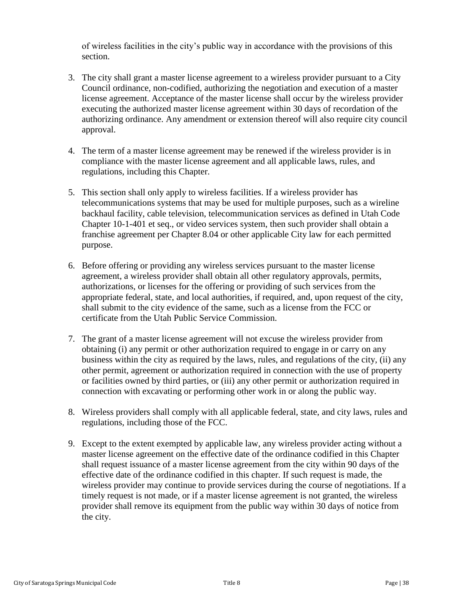of wireless facilities in the city's public way in accordance with the provisions of this section.

- 3. The city shall grant a master license agreement to a wireless provider pursuant to a City Council ordinance, non-codified, authorizing the negotiation and execution of a master license agreement. Acceptance of the master license shall occur by the wireless provider executing the authorized master license agreement within 30 days of recordation of the authorizing ordinance. Any amendment or extension thereof will also require city council approval.
- 4. The term of a master license agreement may be renewed if the wireless provider is in compliance with the master license agreement and all applicable laws, rules, and regulations, including this Chapter.
- 5. This section shall only apply to wireless facilities. If a wireless provider has telecommunications systems that may be used for multiple purposes, such as a wireline backhaul facility, cable television, telecommunication services as defined in Utah Code Chapter 10-1-401 et seq., or video services system, then such provider shall obtain a franchise agreement per Chapter 8.04 or other applicable City law for each permitted purpose.
- 6. Before offering or providing any wireless services pursuant to the master license agreement, a wireless provider shall obtain all other regulatory approvals, permits, authorizations, or licenses for the offering or providing of such services from the appropriate federal, state, and local authorities, if required, and, upon request of the city, shall submit to the city evidence of the same, such as a license from the FCC or certificate from the Utah Public Service Commission.
- 7. The grant of a master license agreement will not excuse the wireless provider from obtaining (i) any permit or other authorization required to engage in or carry on any business within the city as required by the laws, rules, and regulations of the city, (ii) any other permit, agreement or authorization required in connection with the use of property or facilities owned by third parties, or (iii) any other permit or authorization required in connection with excavating or performing other work in or along the public way.
- 8. Wireless providers shall comply with all applicable federal, state, and city laws, rules and regulations, including those of the FCC.
- 9. Except to the extent exempted by applicable law, any wireless provider acting without a master license agreement on the effective date of the ordinance codified in this Chapter shall request issuance of a master license agreement from the city within 90 days of the effective date of the ordinance codified in this chapter. If such request is made, the wireless provider may continue to provide services during the course of negotiations. If a timely request is not made, or if a master license agreement is not granted, the wireless provider shall remove its equipment from the public way within 30 days of notice from the city.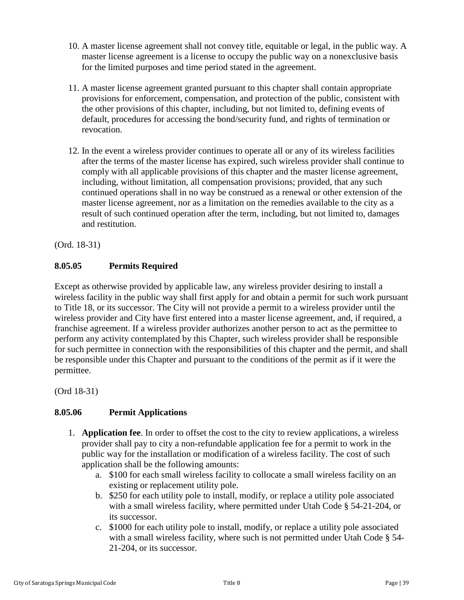- 10. A master license agreement shall not convey title, equitable or legal, in the public way. A master license agreement is a license to occupy the public way on a nonexclusive basis for the limited purposes and time period stated in the agreement.
- 11. A master license agreement granted pursuant to this chapter shall contain appropriate provisions for enforcement, compensation, and protection of the public, consistent with the other provisions of this chapter, including, but not limited to, defining events of default, procedures for accessing the bond/security fund, and rights of termination or revocation.
- 12. In the event a wireless provider continues to operate all or any of its wireless facilities after the terms of the master license has expired, such wireless provider shall continue to comply with all applicable provisions of this chapter and the master license agreement, including, without limitation, all compensation provisions; provided, that any such continued operations shall in no way be construed as a renewal or other extension of the master license agreement, nor as a limitation on the remedies available to the city as a result of such continued operation after the term, including, but not limited to, damages and restitution.

(Ord. 18-31)

# <span id="page-38-0"></span>**8.05.05 Permits Required**

Except as otherwise provided by applicable law, any wireless provider desiring to install a wireless facility in the public way shall first apply for and obtain a permit for such work pursuant to Title 18, or its successor. The City will not provide a permit to a wireless provider until the wireless provider and City have first entered into a master license agreement, and, if required, a franchise agreement. If a wireless provider authorizes another person to act as the permittee to perform any activity contemplated by this Chapter, such wireless provider shall be responsible for such permittee in connection with the responsibilities of this chapter and the permit, and shall be responsible under this Chapter and pursuant to the conditions of the permit as if it were the permittee.

(Ord 18-31)

# <span id="page-38-1"></span>**8.05.06 Permit Applications**

- 1. **Application fee**. In order to offset the cost to the city to review applications, a wireless provider shall pay to city a non-refundable application fee for a permit to work in the public way for the installation or modification of a wireless facility. The cost of such application shall be the following amounts:
	- a. \$100 for each small wireless facility to collocate a small wireless facility on an existing or replacement utility pole.
	- b. \$250 for each utility pole to install, modify, or replace a utility pole associated with a small wireless facility, where permitted under Utah Code § 54-21-204, or its successor.
	- c. \$1000 for each utility pole to install, modify, or replace a utility pole associated with a small wireless facility, where such is not permitted under Utah Code § 54-21-204, or its successor.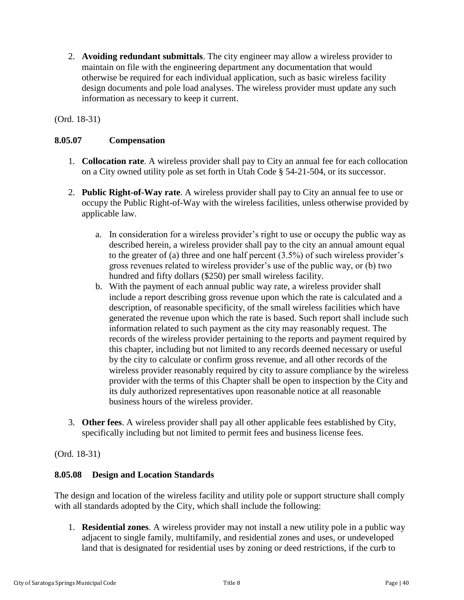2. **Avoiding redundant submittals**. The city engineer may allow a wireless provider to maintain on file with the engineering department any documentation that would otherwise be required for each individual application, such as basic wireless facility design documents and pole load analyses. The wireless provider must update any such information as necessary to keep it current.

(Ord. 18-31)

### <span id="page-39-0"></span>**8.05.07 Compensation**

- 1. **Collocation rate**. A wireless provider shall pay to City an annual fee for each collocation on a City owned utility pole as set forth in Utah Code § 54-21-504, or its successor.
- 2. **Public Right-of-Way rate**. A wireless provider shall pay to City an annual fee to use or occupy the Public Right-of-Way with the wireless facilities, unless otherwise provided by applicable law.
	- a. In consideration for a wireless provider's right to use or occupy the public way as described herein, a wireless provider shall pay to the city an annual amount equal to the greater of (a) three and one half percent (3.5%) of such wireless provider's gross revenues related to wireless provider's use of the public way, or (b) two hundred and fifty dollars (\$250) per small wireless facility.
	- b. With the payment of each annual public way rate, a wireless provider shall include a report describing gross revenue upon which the rate is calculated and a description, of reasonable specificity, of the small wireless facilities which have generated the revenue upon which the rate is based. Such report shall include such information related to such payment as the city may reasonably request. The records of the wireless provider pertaining to the reports and payment required by this chapter, including but not limited to any records deemed necessary or useful by the city to calculate or confirm gross revenue, and all other records of the wireless provider reasonably required by city to assure compliance by the wireless provider with the terms of this Chapter shall be open to inspection by the City and its duly authorized representatives upon reasonable notice at all reasonable business hours of the wireless provider.
- 3. **Other fees**. A wireless provider shall pay all other applicable fees established by City, specifically including but not limited to permit fees and business license fees.

(Ord. 18-31)

# <span id="page-39-1"></span>**8.05.08 Design and Location Standards**

The design and location of the wireless facility and utility pole or support structure shall comply with all standards adopted by the City, which shall include the following:

1. **Residential zones**. A wireless provider may not install a new utility pole in a public way adjacent to single family, multifamily, and residential zones and uses, or undeveloped land that is designated for residential uses by zoning or deed restrictions, if the curb to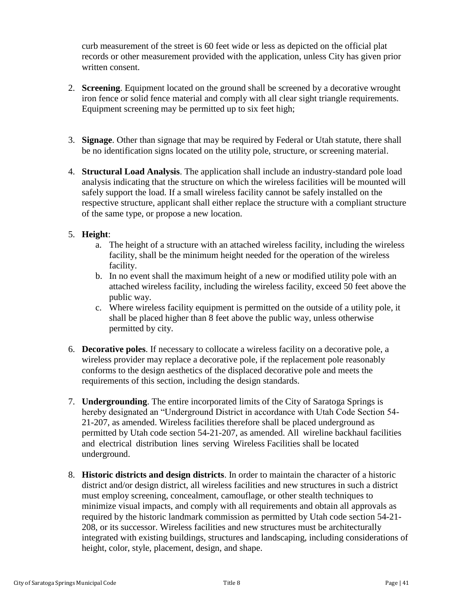curb measurement of the street is 60 feet wide or less as depicted on the official plat records or other measurement provided with the application, unless City has given prior written consent.

- 2. **Screening**. Equipment located on the ground shall be screened by a decorative wrought iron fence or solid fence material and comply with all clear sight triangle requirements. Equipment screening may be permitted up to six feet high;
- 3. **Signage**. Other than signage that may be required by Federal or Utah statute, there shall be no identification signs located on the utility pole, structure, or screening material.
- 4. **Structural Load Analysis**. The application shall include an industry-standard pole load analysis indicating that the structure on which the wireless facilities will be mounted will safely support the load. If a small wireless facility cannot be safely installed on the respective structure, applicant shall either replace the structure with a compliant structure of the same type, or propose a new location.

## 5. **Height**:

- a. The height of a structure with an attached wireless facility, including the wireless facility, shall be the minimum height needed for the operation of the wireless facility.
- b. In no event shall the maximum height of a new or modified utility pole with an attached wireless facility, including the wireless facility, exceed 50 feet above the public way.
- c. Where wireless facility equipment is permitted on the outside of a utility pole, it shall be placed higher than 8 feet above the public way, unless otherwise permitted by city.
- 6. **Decorative poles**. If necessary to collocate a wireless facility on a decorative pole, a wireless provider may replace a decorative pole, if the replacement pole reasonably conforms to the design aesthetics of the displaced decorative pole and meets the requirements of this section, including the design standards.
- 7. **Undergrounding**. The entire incorporated limits of the City of Saratoga Springs is hereby designated an "Underground District in accordance with Utah Code Section 54- 21-207, as amended. Wireless facilities therefore shall be placed underground as permitted by Utah code section 54-21-207, as amended. All wireline backhaul facilities and electrical distribution lines serving Wireless Facilities shall be located underground.
- 8. **Historic districts and design districts**. In order to maintain the character of a historic district and/or design district, all wireless facilities and new structures in such a district must employ screening, concealment, camouflage, or other stealth techniques to minimize visual impacts, and comply with all requirements and obtain all approvals as required by the historic landmark commission as permitted by Utah code section 54-21- 208, or its successor. Wireless facilities and new structures must be architecturally integrated with existing buildings, structures and landscaping, including considerations of height, color, style, placement, design, and shape.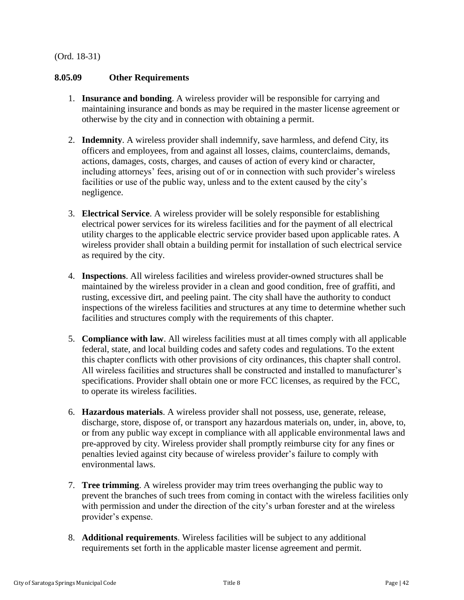### (Ord. 18-31)

## <span id="page-41-0"></span>**8.05.09 Other Requirements**

- 1. **Insurance and bonding**. A wireless provider will be responsible for carrying and maintaining insurance and bonds as may be required in the master license agreement or otherwise by the city and in connection with obtaining a permit.
- 2. **Indemnity**. A wireless provider shall indemnify, save harmless, and defend City, its officers and employees, from and against all losses, claims, counterclaims, demands, actions, damages, costs, charges, and causes of action of every kind or character, including attorneys' fees, arising out of or in connection with such provider's wireless facilities or use of the public way, unless and to the extent caused by the city's negligence.
- 3. **Electrical Service**. A wireless provider will be solely responsible for establishing electrical power services for its wireless facilities and for the payment of all electrical utility charges to the applicable electric service provider based upon applicable rates. A wireless provider shall obtain a building permit for installation of such electrical service as required by the city.
- 4. **Inspections**. All wireless facilities and wireless provider-owned structures shall be maintained by the wireless provider in a clean and good condition, free of graffiti, and rusting, excessive dirt, and peeling paint. The city shall have the authority to conduct inspections of the wireless facilities and structures at any time to determine whether such facilities and structures comply with the requirements of this chapter.
- 5. **Compliance with law**. All wireless facilities must at all times comply with all applicable federal, state, and local building codes and safety codes and regulations. To the extent this chapter conflicts with other provisions of city ordinances, this chapter shall control. All wireless facilities and structures shall be constructed and installed to manufacturer's specifications. Provider shall obtain one or more FCC licenses, as required by the FCC, to operate its wireless facilities.
- 6. **Hazardous materials**. A wireless provider shall not possess, use, generate, release, discharge, store, dispose of, or transport any hazardous materials on, under, in, above, to, or from any public way except in compliance with all applicable environmental laws and pre-approved by city. Wireless provider shall promptly reimburse city for any fines or penalties levied against city because of wireless provider's failure to comply with environmental laws.
- 7. **Tree trimming**. A wireless provider may trim trees overhanging the public way to prevent the branches of such trees from coming in contact with the wireless facilities only with permission and under the direction of the city's urban forester and at the wireless provider's expense.
- 8. **Additional requirements**. Wireless facilities will be subject to any additional requirements set forth in the applicable master license agreement and permit.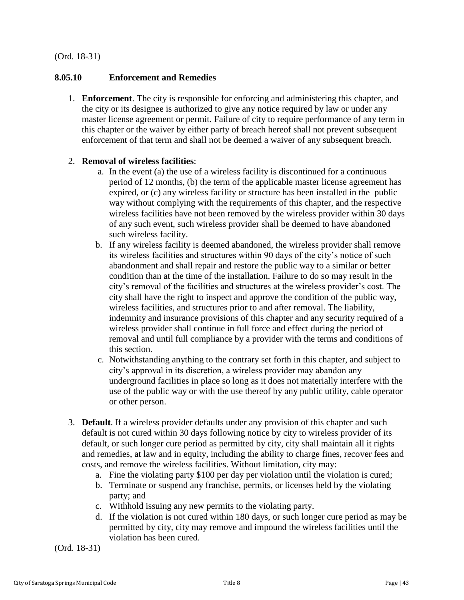### (Ord. 18-31)

#### <span id="page-42-1"></span>**8.05.10 Enforcement and Remedies**

1. **Enforcement**. The city is responsible for enforcing and administering this chapter, and the city or its designee is authorized to give any notice required by law or under any master license agreement or permit. Failure of city to require performance of any term in this chapter or the waiver by either party of breach hereof shall not prevent subsequent enforcement of that term and shall not be deemed a waiver of any subsequent breach.

### 2. **Removal of wireless facilities**:

- a. In the event (a) the use of a wireless facility is discontinued for a continuous period of 12 months, (b) the term of the applicable master license agreement has expired, or (c) any wireless facility or structure has been installed in the public way without complying with the requirements of this chapter, and the respective wireless facilities have not been removed by the wireless provider within 30 days of any such event, such wireless provider shall be deemed to have abandoned such wireless facility.
- b. If any wireless facility is deemed abandoned, the wireless provider shall remove its wireless facilities and structures within 90 days of the city's notice of such abandonment and shall repair and restore the public way to a similar or better condition than at the time of the installation. Failure to do so may result in the city's removal of the facilities and structures at the wireless provider's cost. The city shall have the right to inspect and approve the condition of the public way, wireless facilities, and structures prior to and after removal. The liability, indemnity and insurance provisions of this chapter and any security required of a wireless provider shall continue in full force and effect during the period of removal and until full compliance by a provider with the terms and conditions of this section.
- c. Notwithstanding anything to the contrary set forth in this chapter, and subject to city's approval in its discretion, a wireless provider may abandon any underground facilities in place so long as it does not materially interfere with the use of the public way or with the use thereof by any public utility, cable operator or other person.
- 3. **Default**. If a wireless provider defaults under any provision of this chapter and such default is not cured within 30 days following notice by city to wireless provider of its default, or such longer cure period as permitted by city, city shall maintain all it rights and remedies, at law and in equity, including the ability to charge fines, recover fees and costs, and remove the wireless facilities. Without limitation, city may:
	- a. Fine the violating party \$100 per day per violation until the violation is cured;
	- b. Terminate or suspend any franchise, permits, or licenses held by the violating party; and
	- c. Withhold issuing any new permits to the violating party.
	- d. If the violation is not cured within 180 days, or such longer cure period as may be permitted by city, city may remove and impound the wireless facilities until the violation has been cured.

<span id="page-42-0"></span>(Ord. 18-31)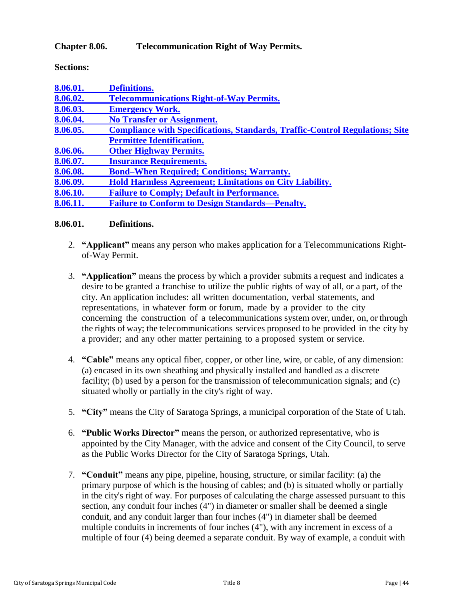## **Chapter 8.06. Telecommunication Right of Way Permits.**

**Sections:**

| 8.06.01. | <b>Definitions.</b>                                                                 |
|----------|-------------------------------------------------------------------------------------|
| 8.06.02. | <b>Telecommunications Right-of-Way Permits.</b>                                     |
| 8.06.03. | <b>Emergency Work.</b>                                                              |
| 8.06.04. | <b>No Transfer or Assignment.</b>                                                   |
| 8.06.05. | <b>Compliance with Specifications, Standards, Traffic-Control Regulations; Site</b> |
|          | <b>Permittee Identification.</b>                                                    |
| 8.06.06. | <b>Other Highway Permits.</b>                                                       |
| 8.06.07. | <b>Insurance Requirements.</b>                                                      |
| 8.06.08. | <b>Bond–When Required; Conditions; Warranty.</b>                                    |
| 8.06.09. | <b>Hold Harmless Agreement; Limitations on City Liability.</b>                      |
| 8.06.10. | <b>Failure to Comply; Default in Performance.</b>                                   |
| 8.06.11. | <b>Failure to Conform to Design Standards—Penalty.</b>                              |

### <span id="page-43-0"></span>**8.06.01. Definitions.**

- 2. **"Applicant"** means any person who makes application for a Telecommunications Rightof-Way Permit.
- 3. **"Application"** means the process by which a provider submits a request and indicates a desire to be granted a franchise to utilize the public rights of way of all, or a part, of the city. An application includes: all written documentation, verbal statements, and representations, in whatever form or forum, made by a provider to the city concerning the construction of a telecommunications system over, under, on, or through the rights of way; the telecommunications services proposed to be provided in the city by a provider; and any other matter pertaining to a proposed system or service.
- 4. **"Cable"** means any optical fiber, copper, or other line, wire, or cable, of any dimension: (a) encased in its own sheathing and physically installed and handled as a discrete facility; (b) used by a person for the transmission of telecommunication signals; and (c) situated wholly or partially in the city's right of way.
- 5. **"City"** means the City of Saratoga Springs, a municipal corporation of the State of Utah.
- 6. **"Public Works Director"** means the person, or authorized representative, who is appointed by the City Manager, with the advice and consent of the City Council, to serve as the Public Works Director for the City of Saratoga Springs, Utah.
- 7. **"Conduit"** means any pipe, pipeline, housing, structure, or similar facility: (a) the primary purpose of which is the housing of cables; and (b) is situated wholly or partially in the city's right of way. For purposes of calculating the charge assessed pursuant to this section, any conduit four inches (4") in diameter or smaller shall be deemed a single conduit, and any conduit larger than four inches (4") in diameter shall be deemed multiple conduits in increments of four inches (4"), with any increment in excess of a multiple of four (4) being deemed a separate conduit. By way of example, a conduit with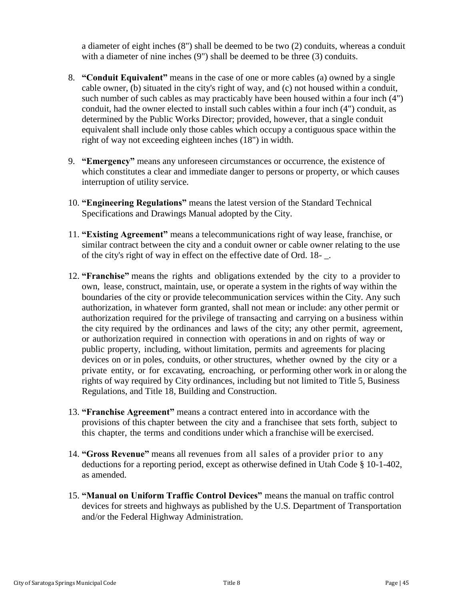a diameter of eight inches (8") shall be deemed to be two (2) conduits, whereas a conduit with a diameter of nine inches (9") shall be deemed to be three (3) conduits.

- 8. **"Conduit Equivalent"** means in the case of one or more cables (a) owned by a single cable owner, (b) situated in the city's right of way, and (c) not housed within a conduit, such number of such cables as may practicably have been housed within a four inch (4") conduit, had the owner elected to install such cables within a four inch (4") conduit, as determined by the Public Works Director; provided, however, that a single conduit equivalent shall include only those cables which occupy a contiguous space within the right of way not exceeding eighteen inches (18") in width.
- 9. **"Emergency"** means any unforeseen circumstances or occurrence, the existence of which constitutes a clear and immediate danger to persons or property, or which causes interruption of utility service.
- 10. **"Engineering Regulations"** means the latest version of the Standard Technical Specifications and Drawings Manual adopted by the City.
- 11. **"Existing Agreement"** means a telecommunications right of way lease, franchise, or similar contract between the city and a conduit owner or cable owner relating to the use of the city's right of way in effect on the effective date of Ord. 18- \_.
- 12. **"Franchise"** means the rights and obligations extended by the city to a provider to own, lease, construct, maintain, use, or operate a system in the rights of way within the boundaries of the city or provide telecommunication services within the City. Any such authorization, in whatever form granted, shall not mean or include: any other permit or authorization required for the privilege of transacting and carrying on a business within the city required by the ordinances and laws of the city; any other permit, agreement, or authorization required in connection with operations in and on rights of way or public property, including, without limitation, permits and agreements for placing devices on or in poles, conduits, or other structures, whether owned by the city or a private entity, or for excavating, encroaching, or performing other work in or along the rights of way required by City ordinances, including but not limited to Title 5, Business Regulations, and Title 18, Building and Construction.
- 13. **"Franchise Agreement"** means a contract entered into in accordance with the provisions of this chapter between the city and a franchisee that sets forth, subject to this chapter, the terms and conditions under which a franchise will be exercised.
- 14. **"Gross Revenue"** means all revenues from all sales of a provider prior to any deductions for a reporting period, except as otherwise defined in Utah Code § 10-1-402, as amended.
- 15. **"Manual on Uniform Traffic Control Devices"** means the manual on traffic control devices for streets and highways as published by the U.S. Department of Transportation and/or the Federal Highway Administration.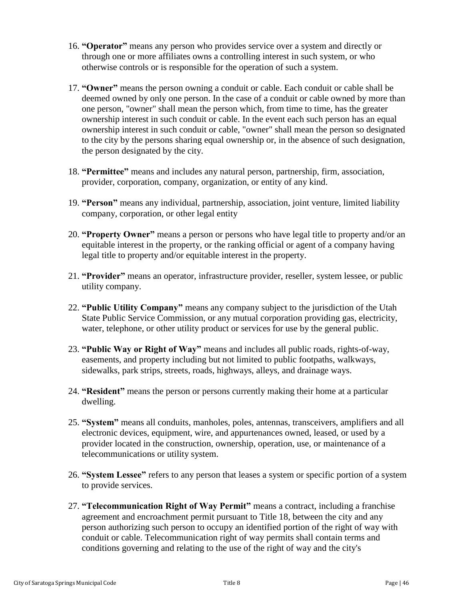- 16. **"Operator"** means any person who provides service over a system and directly or through one or more affiliates owns a controlling interest in such system, or who otherwise controls or is responsible for the operation of such a system.
- 17. **"Owner"** means the person owning a conduit or cable. Each conduit or cable shall be deemed owned by only one person. In the case of a conduit or cable owned by more than one person, "owner" shall mean the person which, from time to time, has the greater ownership interest in such conduit or cable. In the event each such person has an equal ownership interest in such conduit or cable, "owner" shall mean the person so designated to the city by the persons sharing equal ownership or, in the absence of such designation, the person designated by the city.
- 18. **"Permittee"** means and includes any natural person, partnership, firm, association, provider, corporation, company, organization, or entity of any kind.
- 19. **"Person"** means any individual, partnership, association, joint venture, limited liability company, corporation, or other legal entity
- 20. **"Property Owner"** means a person or persons who have legal title to property and/or an equitable interest in the property, or the ranking official or agent of a company having legal title to property and/or equitable interest in the property.
- 21. **"Provider"** means an operator, infrastructure provider, reseller, system lessee, or public utility company.
- 22. **"Public Utility Company"** means any company subject to the jurisdiction of the Utah State Public Service Commission, or any mutual corporation providing gas, electricity, water, telephone, or other utility product or services for use by the general public.
- 23. **"Public Way or Right of Way"** means and includes all public roads, rights-of-way, easements, and property including but not limited to public footpaths, walkways, sidewalks, park strips, streets, roads, highways, alleys, and drainage ways.
- 24. **"Resident"** means the person or persons currently making their home at a particular dwelling.
- 25. **"System"** means all conduits, manholes, poles, antennas, transceivers, amplifiers and all electronic devices, equipment, wire, and appurtenances owned, leased, or used by a provider located in the construction, ownership, operation, use, or maintenance of a telecommunications or utility system.
- 26. **"System Lessee"** refers to any person that leases a system or specific portion of a system to provide services.
- 27. **"Telecommunication Right of Way Permit"** means a contract, including a franchise agreement and encroachment permit pursuant to Title 18, between the city and any person authorizing such person to occupy an identified portion of the right of way with conduit or cable. Telecommunication right of way permits shall contain terms and conditions governing and relating to the use of the right of way and the city's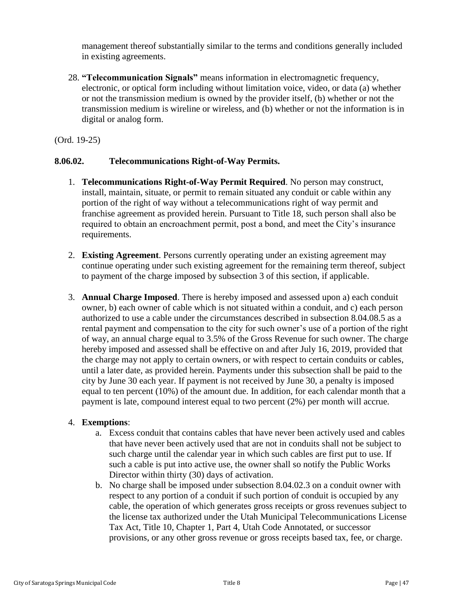management thereof substantially similar to the terms and conditions generally included in existing agreements.

28. **"Telecommunication Signals"** means information in electromagnetic frequency, electronic, or optical form including without limitation voice, video, or data (a) whether or not the transmission medium is owned by the provider itself, (b) whether or not the transmission medium is wireline or wireless, and (b) whether or not the information is in digital or analog form.

(Ord. 19-25)

## <span id="page-46-0"></span>**8.06.02. Telecommunications Right-of-Way Permits.**

- 1. **Telecommunications Right-of-Way Permit Required**. No person may construct, install, maintain, situate, or permit to remain situated any conduit or cable within any portion of the right of way without a telecommunications right of way permit and franchise agreement as provided herein. Pursuant to Title 18, such person shall also be required to obtain an encroachment permit, post a bond, and meet the City's insurance requirements.
- 2. **Existing Agreement**. Persons currently operating under an existing agreement may continue operating under such existing agreement for the remaining term thereof, subject to payment of the charge imposed by subsection 3 of this section, if applicable.
- 3. **Annual Charge Imposed**. There is hereby imposed and assessed upon a) each conduit owner, b) each owner of cable which is not situated within a conduit, and c) each person authorized to use a cable under the circumstances described in subsection 8.04.08.5 as a rental payment and compensation to the city for such owner's use of a portion of the right of way, an annual charge equal to 3.5% of the Gross Revenue for such owner. The charge hereby imposed and assessed shall be effective on and after July 16, 2019, provided that the charge may not apply to certain owners, or with respect to certain conduits or cables, until a later date, as provided herein. Payments under this subsection shall be paid to the city by June 30 each year. If payment is not received by June 30, a penalty is imposed equal to ten percent (10%) of the amount due. In addition, for each calendar month that a payment is late, compound interest equal to two percent (2%) per month will accrue.

### 4. **Exemptions**:

- a. Excess conduit that contains cables that have never been actively used and cables that have never been actively used that are not in conduits shall not be subject to such charge until the calendar year in which such cables are first put to use. If such a cable is put into active use, the owner shall so notify the Public Works Director within thirty (30) days of activation.
- b. No charge shall be imposed under subsection 8.04.02.3 on a conduit owner with respect to any portion of a conduit if such portion of conduit is occupied by any cable, the operation of which generates gross receipts or gross revenues subject to the license tax authorized under the Utah Municipal Telecommunications License Tax Act, Title 10, Chapter 1, Part 4, Utah Code Annotated, or successor provisions, or any other gross revenue or gross receipts based tax, fee, or charge.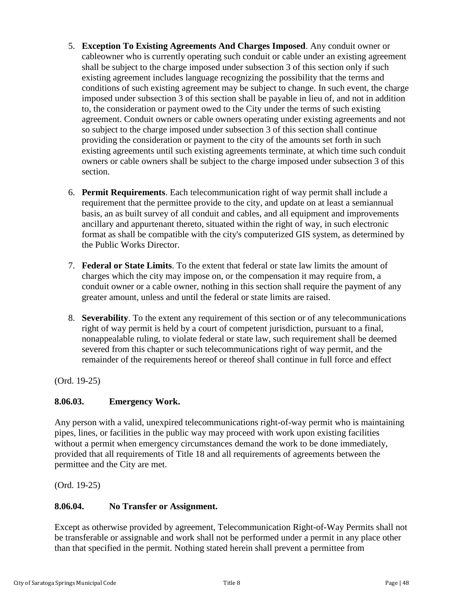- 5. **Exception To Existing Agreements And Charges Imposed**. Any conduit owner or cableowner who is currently operating such conduit or cable under an existing agreement shall be subject to the charge imposed under subsection 3 of this section only if such existing agreement includes language recognizing the possibility that the terms and conditions of such existing agreement may be subject to change. In such event, the charge imposed under subsection 3 of this section shall be payable in lieu of, and not in addition to, the consideration or payment owed to the City under the terms of such existing agreement. Conduit owners or cable owners operating under existing agreements and not so subject to the charge imposed under subsection 3 of this section shall continue providing the consideration or payment to the city of the amounts set forth in such existing agreements until such existing agreements terminate, at which time such conduit owners or cable owners shall be subject to the charge imposed under subsection 3 of this section.
- 6. **Permit Requirements**. Each telecommunication right of way permit shall include a requirement that the permittee provide to the city, and update on at least a semiannual basis, an as built survey of all conduit and cables, and all equipment and improvements ancillary and appurtenant thereto, situated within the right of way, in such electronic format as shall be compatible with the city's computerized GIS system, as determined by the Public Works Director.
- 7. **Federal or State Limits**. To the extent that federal or state law limits the amount of charges which the city may impose on, or the compensation it may require from, a conduit owner or a cable owner, nothing in this section shall require the payment of any greater amount, unless and until the federal or state limits are raised.
- 8. **Severability**. To the extent any requirement of this section or of any telecommunications right of way permit is held by a court of competent jurisdiction, pursuant to a final, nonappealable ruling, to violate federal or state law, such requirement shall be deemed severed from this chapter or such telecommunications right of way permit, and the remainder of the requirements hereof or thereof shall continue in full force and effect

(Ord. 19-25)

# <span id="page-47-0"></span>**8.06.03. Emergency Work.**

Any person with a valid, unexpired telecommunications right-of-way permit who is maintaining pipes, lines, or facilities in the public way may proceed with work upon existing facilities without a permit when emergency circumstances demand the work to be done immediately, provided that all requirements of Title 18 and all requirements of agreements between the permittee and the City are met.

(Ord. 19-25)

# <span id="page-47-1"></span>**8.06.04. No Transfer or Assignment.**

Except as otherwise provided by agreement, Telecommunication Right-of-Way Permits shall not be transferable or assignable and work shall not be performed under a permit in any place other than that specified in the permit. Nothing stated herein shall prevent a permittee from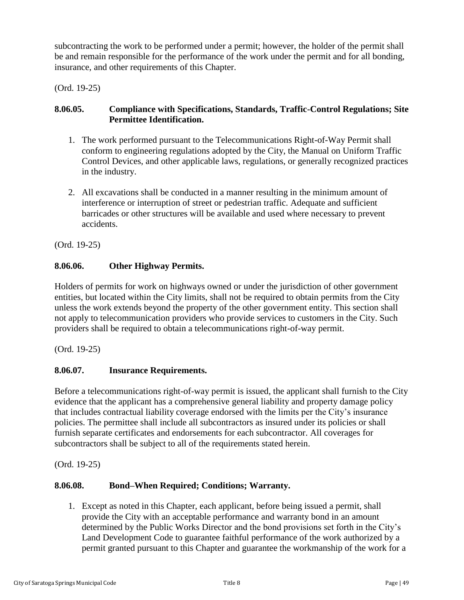subcontracting the work to be performed under a permit; however, the holder of the permit shall be and remain responsible for the performance of the work under the permit and for all bonding, insurance, and other requirements of this Chapter.

(Ord. 19-25)

# <span id="page-48-0"></span>**8.06.05. Compliance with Specifications, Standards, Traffic-Control Regulations; Site Permittee Identification.**

- 1. The work performed pursuant to the Telecommunications Right-of-Way Permit shall conform to engineering regulations adopted by the City, the Manual on Uniform Traffic Control Devices, and other applicable laws, regulations, or generally recognized practices in the industry.
- 2. All excavations shall be conducted in a manner resulting in the minimum amount of interference or interruption of street or pedestrian traffic. Adequate and sufficient barricades or other structures will be available and used where necessary to prevent accidents.

(Ord. 19-25)

# <span id="page-48-1"></span>**8.06.06. Other Highway Permits.**

Holders of permits for work on highways owned or under the jurisdiction of other government entities, but located within the City limits, shall not be required to obtain permits from the City unless the work extends beyond the property of the other government entity. This section shall not apply to telecommunication providers who provide services to customers in the City. Such providers shall be required to obtain a telecommunications right-of-way permit.

(Ord. 19-25)

# <span id="page-48-2"></span>**8.06.07. Insurance Requirements.**

Before a telecommunications right-of-way permit is issued, the applicant shall furnish to the City evidence that the applicant has a comprehensive general liability and property damage policy that includes contractual liability coverage endorsed with the limits per the City's insurance policies. The permittee shall include all subcontractors as insured under its policies or shall furnish separate certificates and endorsements for each subcontractor. All coverages for subcontractors shall be subject to all of the requirements stated herein.

(Ord. 19-25)

# <span id="page-48-3"></span>**8.06.08. Bond–When Required; Conditions; Warranty.**

1. Except as noted in this Chapter, each applicant, before being issued a permit, shall provide the City with an acceptable performance and warranty bond in an amount determined by the Public Works Director and the bond provisions set forth in the City's Land Development Code to guarantee faithful performance of the work authorized by a permit granted pursuant to this Chapter and guarantee the workmanship of the work for a